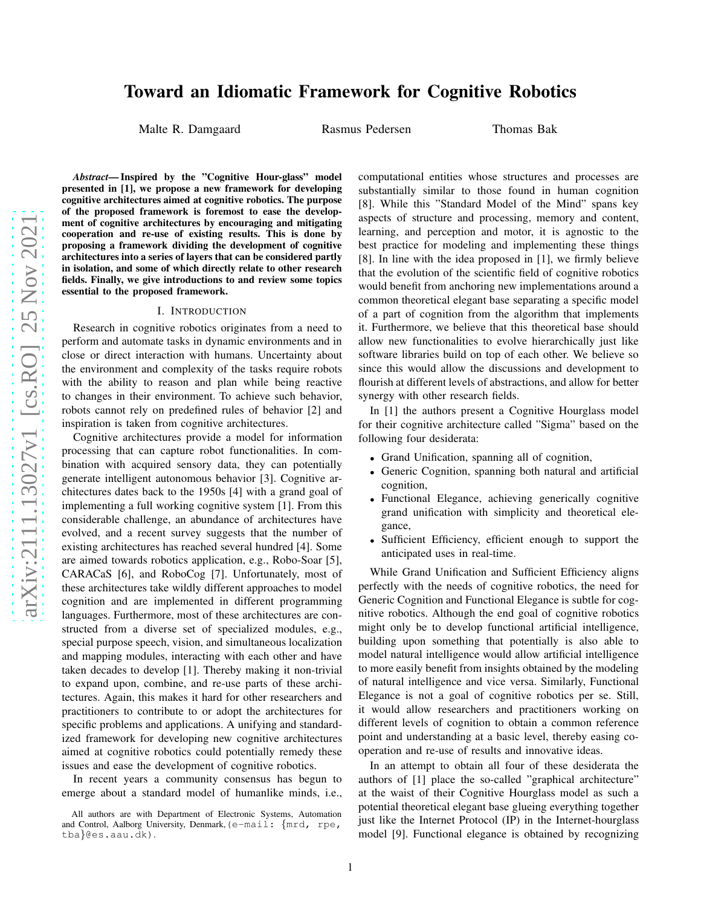# Toward an Idiomatic Framework for Cognitive Robotics

Malte R. Damgaard Rasmus Pedersen Thomas Bak

*Abstract*— Inspired by the "Cognitive Hour-glass" model presented in [1], we propose a new framework for developing cognitive architectures aimed at cognitive robotics. The purpose of the proposed framework is foremost to ease the development of cognitive architectures by encouraging and mitigating cooperation and re-use of existing results. This is done by proposing a framework dividing the development of cognitive architectures into a series of layers that can be considered partly in isolation, and some of which directly relate to other research fields. Finally, we give introductions to and review some topics essential to the proposed framework.

#### I. INTRODUCTION

Research in cognitive robotics originates from a need to perform and automate tasks in dynamic environments and in close or direct interaction with humans. Uncertainty about the environment and complexity of the tasks require robots with the ability to reason and plan while being reactive to changes in their environment. To achieve such behavior, robots cannot rely on predefined rules of behavior [2] and inspiration is taken from cognitive architectures.

Cognitive architectures provide a model for information processing that can capture robot functionalities. In combination with acquired sensory data, they can potentially generate intelligent autonomous behavior [3]. Cognitive architectures dates back to the 1950s [4] with a grand goal of implementing a full working cognitive system [1]. From this considerable challenge, an abundance of architectures have evolved, and a recent survey suggests that the number of existing architectures has reached several hundred [4]. Some are aimed towards robotics application, e.g., Robo-Soar [5], CARACaS [6], and RoboCog [7]. Unfortunately, most of these architectures take wildly different approaches to model cognition and are implemented in different programming languages. Furthermore, most of these architectures are constructed from a diverse set of specialized modules, e.g., special purpose speech, vision, and simultaneous localization and mapping modules, interacting with each other and have taken decades to develop [1]. Thereby making it non-trivial to expand upon, combine, and re-use parts of these architectures. Again, this makes it hard for other researchers and practitioners to contribute to or adopt the architectures for specific problems and applications. A unifying and standardized framework for developing new cognitive architectures aimed at cognitive robotics could potentially remedy these issues and ease the development of cognitive robotics.

In recent years a community consensus has begun to emerge about a standard model of humanlike minds, i.e.,

computational entities whose structures and processes are substantially similar to those found in human cognition [8]. While this "Standard Model of the Mind" spans key aspects of structure and processing, memory and content, learning, and perception and motor, it is agnostic to the best practice for modeling and implementing these things [8]. In line with the idea proposed in [1], we firmly believe that the evolution of the scientific field of cognitive robotics would benefit from anchoring new implementations around a common theoretical elegant base separating a specific model of a part of cognition from the algorithm that implements it. Furthermore, we believe that this theoretical base should allow new functionalities to evolve hierarchically just like software libraries build on top of each other. We believe so since this would allow the discussions and development to flourish at different levels of abstractions, and allow for better synergy with other research fields.

In [1] the authors present a Cognitive Hourglass model for their cognitive architecture called "Sigma" based on the following four desiderata:

- Grand Unification, spanning all of cognition,
- Generic Cognition, spanning both natural and artificial cognition,
- Functional Elegance, achieving generically cognitive grand unification with simplicity and theoretical elegance,
- Sufficient Efficiency, efficient enough to support the anticipated uses in real-time.

While Grand Unification and Sufficient Efficiency aligns perfectly with the needs of cognitive robotics, the need for Generic Cognition and Functional Elegance is subtle for cognitive robotics. Although the end goal of cognitive robotics might only be to develop functional artificial intelligence, building upon something that potentially is also able to model natural intelligence would allow artificial intelligence to more easily benefit from insights obtained by the modeling of natural intelligence and vice versa. Similarly, Functional Elegance is not a goal of cognitive robotics per se. Still, it would allow researchers and practitioners working on different levels of cognition to obtain a common reference point and understanding at a basic level, thereby easing cooperation and re-use of results and innovative ideas.

In an attempt to obtain all four of these desiderata the authors of [1] place the so-called "graphical architecture" at the waist of their Cognitive Hourglass model as such a potential theoretical elegant base glueing everything together just like the Internet Protocol (IP) in the Internet-hourglass model [9]. Functional elegance is obtained by recognizing

All authors are with Department of Electronic Systems, Automation and Control, Aalborg University, Denmark,(e-mail: {mrd, rpe, tba}@es.aau.dk).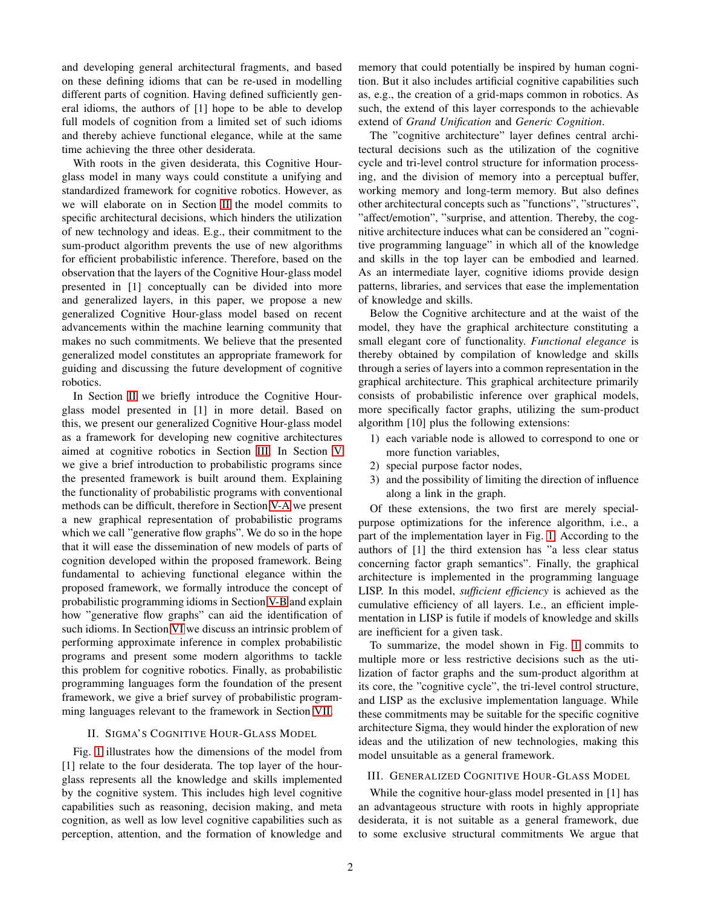and developing general architectural fragments, and based on these defining idioms that can be re-used in modelling different parts of cognition. Having defined sufficiently general idioms, the authors of [1] hope to be able to develop full models of cognition from a limited set of such idioms and thereby achieve functional elegance, while at the same time achieving the three other desiderata.

With roots in the given desiderata, this Cognitive Hourglass model in many ways could constitute a unifying and standardized framework for cognitive robotics. However, as we will elaborate on in Section [II](#page-1-0) the model commits to specific architectural decisions, which hinders the utilization of new technology and ideas. E.g., their commitment to the sum-product algorithm prevents the use of new algorithms for efficient probabilistic inference. Therefore, based on the observation that the layers of the Cognitive Hour-glass model presented in [1] conceptually can be divided into more and generalized layers, in this paper, we propose a new generalized Cognitive Hour-glass model based on recent advancements within the machine learning community that makes no such commitments. We believe that the presented generalized model constitutes an appropriate framework for guiding and discussing the future development of cognitive robotics.

In Section [II](#page-1-0) we briefly introduce the Cognitive Hourglass model presented in [1] in more detail. Based on this, we present our generalized Cognitive Hour-glass model as a framework for developing new cognitive architectures aimed at cognitive robotics in Section [III.](#page-1-1) In Section [V](#page-3-0) we give a brief introduction to probabilistic programs since the presented framework is built around them. Explaining the functionality of probabilistic programs with conventional methods can be difficult, therefore in Section [V-A](#page-4-0) we present a new graphical representation of probabilistic programs which we call "generative flow graphs". We do so in the hope that it will ease the dissemination of new models of parts of cognition developed within the proposed framework. Being fundamental to achieving functional elegance within the proposed framework, we formally introduce the concept of probabilistic programming idioms in Section [V-B](#page-6-0) and explain how "generative flow graphs" can aid the identification of such idioms. In Section [VI](#page-7-0) we discuss an intrinsic problem of performing approximate inference in complex probabilistic programs and present some modern algorithms to tackle this problem for cognitive robotics. Finally, as probabilistic programming languages form the foundation of the present framework, we give a brief survey of probabilistic programming languages relevant to the framework in Section [VII.](#page-10-0)

#### <span id="page-1-0"></span>II. SIGMA'S COGNITIVE HOUR-GLASS MODEL

Fig. [1](#page-2-0) illustrates how the dimensions of the model from [1] relate to the four desiderata. The top layer of the hourglass represents all the knowledge and skills implemented by the cognitive system. This includes high level cognitive capabilities such as reasoning, decision making, and meta cognition, as well as low level cognitive capabilities such as perception, attention, and the formation of knowledge and

memory that could potentially be inspired by human cognition. But it also includes artificial cognitive capabilities such as, e.g., the creation of a grid-maps common in robotics. As such, the extend of this layer corresponds to the achievable extend of *Grand Unification* and *Generic Cognition*.

The "cognitive architecture" layer defines central architectural decisions such as the utilization of the cognitive cycle and tri-level control structure for information processing, and the division of memory into a perceptual buffer, working memory and long-term memory. But also defines other architectural concepts such as "functions", "structures", "affect/emotion", "surprise, and attention. Thereby, the cognitive architecture induces what can be considered an "cognitive programming language" in which all of the knowledge and skills in the top layer can be embodied and learned. As an intermediate layer, cognitive idioms provide design patterns, libraries, and services that ease the implementation of knowledge and skills.

Below the Cognitive architecture and at the waist of the model, they have the graphical architecture constituting a small elegant core of functionality. *Functional elegance* is thereby obtained by compilation of knowledge and skills through a series of layers into a common representation in the graphical architecture. This graphical architecture primarily consists of probabilistic inference over graphical models, more specifically factor graphs, utilizing the sum-product algorithm [10] plus the following extensions:

- 1) each variable node is allowed to correspond to one or more function variables,
- 2) special purpose factor nodes,
- 3) and the possibility of limiting the direction of influence along a link in the graph.

Of these extensions, the two first are merely specialpurpose optimizations for the inference algorithm, i.e., a part of the implementation layer in Fig. [1.](#page-2-0) According to the authors of [1] the third extension has "a less clear status concerning factor graph semantics". Finally, the graphical architecture is implemented in the programming language LISP. In this model, *sufficient efficiency* is achieved as the cumulative efficiency of all layers. I.e., an efficient implementation in LISP is futile if models of knowledge and skills are inefficient for a given task.

To summarize, the model shown in Fig. [1](#page-2-0) commits to multiple more or less restrictive decisions such as the utilization of factor graphs and the sum-product algorithm at its core, the "cognitive cycle", the tri-level control structure, and LISP as the exclusive implementation language. While these commitments may be suitable for the specific cognitive architecture Sigma, they would hinder the exploration of new ideas and the utilization of new technologies, making this model unsuitable as a general framework.

## <span id="page-1-1"></span>III. GENERALIZED COGNITIVE HOUR-GLASS MODEL

While the cognitive hour-glass model presented in [1] has an advantageous structure with roots in highly appropriate desiderata, it is not suitable as a general framework, due to some exclusive structural commitments We argue that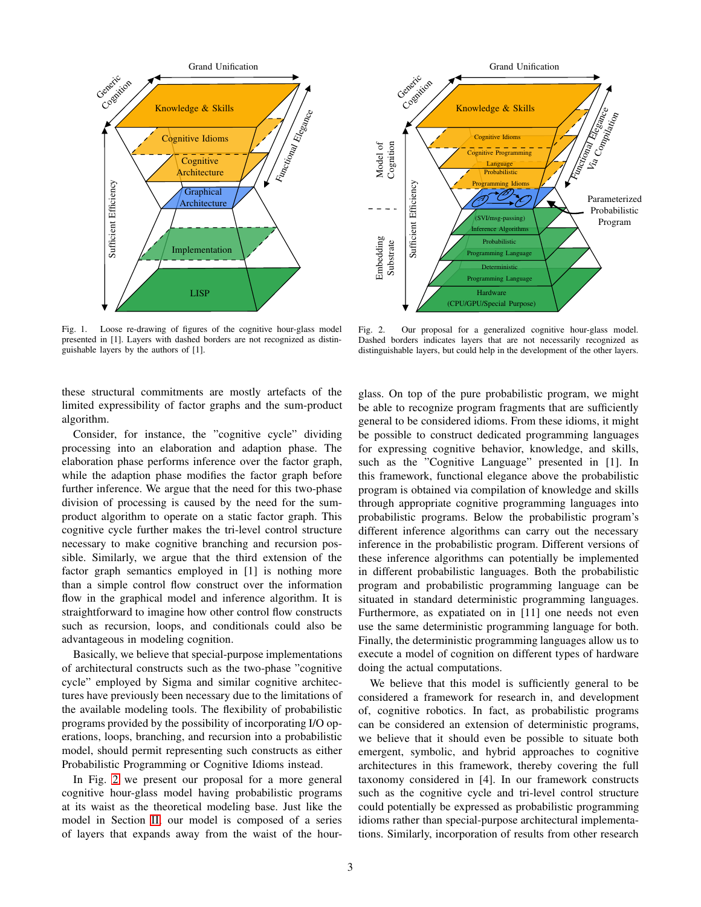

<span id="page-2-0"></span>Fig. 1. Loose re-drawing of figures of the cognitive hour-glass model presented in [1]. Layers with dashed borders are not recognized as distinguishable layers by the authors of [1].

these structural commitments are mostly artefacts of the limited expressibility of factor graphs and the sum-product algorithm.

Consider, for instance, the "cognitive cycle" dividing processing into an elaboration and adaption phase. The elaboration phase performs inference over the factor graph, while the adaption phase modifies the factor graph before further inference. We argue that the need for this two-phase division of processing is caused by the need for the sumproduct algorithm to operate on a static factor graph. This cognitive cycle further makes the tri-level control structure necessary to make cognitive branching and recursion possible. Similarly, we argue that the third extension of the factor graph semantics employed in [1] is nothing more than a simple control flow construct over the information flow in the graphical model and inference algorithm. It is straightforward to imagine how other control flow constructs such as recursion, loops, and conditionals could also be advantageous in modeling cognition.

Basically, we believe that special-purpose implementations of architectural constructs such as the two-phase "cognitive cycle" employed by Sigma and similar cognitive architectures have previously been necessary due to the limitations of the available modeling tools. The flexibility of probabilistic programs provided by the possibility of incorporating I/O operations, loops, branching, and recursion into a probabilistic model, should permit representing such constructs as either Probabilistic Programming or Cognitive Idioms instead.

In Fig. [2](#page-2-1) we present our proposal for a more general cognitive hour-glass model having probabilistic programs at its waist as the theoretical modeling base. Just like the model in Section [II,](#page-1-0) our model is composed of a series of layers that expands away from the waist of the hour-



<span id="page-2-1"></span>Fig. 2. Our proposal for a generalized cognitive hour-glass model. Dashed borders indicates layers that are not necessarily recognized as distinguishable layers, but could help in the development of the other layers.

glass. On top of the pure probabilistic program, we might be able to recognize program fragments that are sufficiently general to be considered idioms. From these idioms, it might be possible to construct dedicated programming languages for expressing cognitive behavior, knowledge, and skills, such as the "Cognitive Language" presented in [1]. In this framework, functional elegance above the probabilistic program is obtained via compilation of knowledge and skills through appropriate cognitive programming languages into probabilistic programs. Below the probabilistic program's different inference algorithms can carry out the necessary inference in the probabilistic program. Different versions of these inference algorithms can potentially be implemented in different probabilistic languages. Both the probabilistic program and probabilistic programming language can be situated in standard deterministic programming languages. Furthermore, as expatiated on in [11] one needs not even use the same deterministic programming language for both. Finally, the deterministic programming languages allow us to execute a model of cognition on different types of hardware doing the actual computations.

We believe that this model is sufficiently general to be considered a framework for research in, and development of, cognitive robotics. In fact, as probabilistic programs can be considered an extension of deterministic programs, we believe that it should even be possible to situate both emergent, symbolic, and hybrid approaches to cognitive architectures in this framework, thereby covering the full taxonomy considered in [4]. In our framework constructs such as the cognitive cycle and tri-level control structure could potentially be expressed as probabilistic programming idioms rather than special-purpose architectural implementations. Similarly, incorporation of results from other research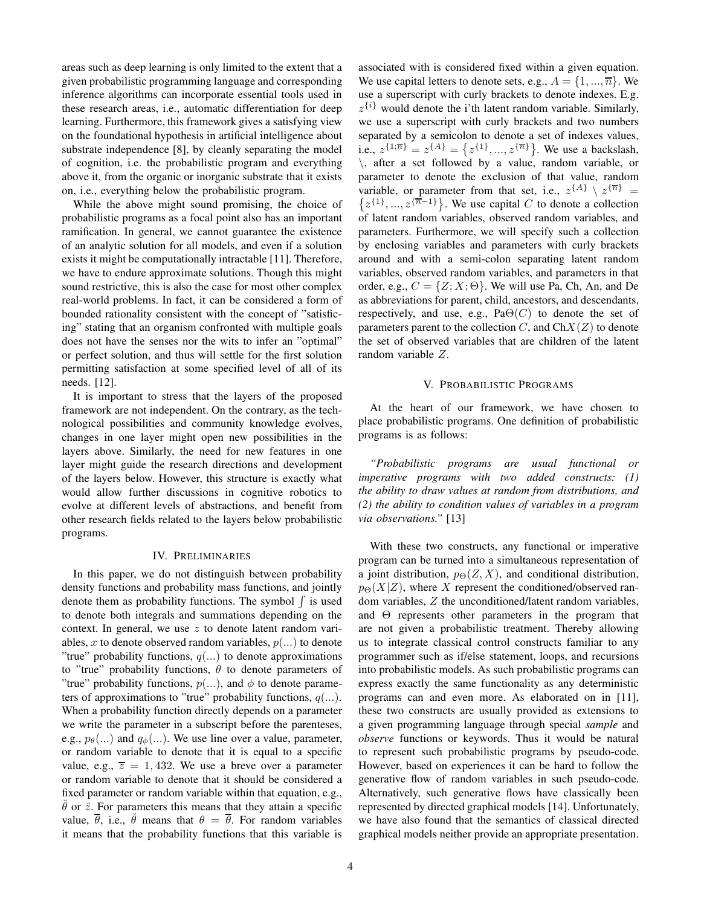areas such as deep learning is only limited to the extent that a given probabilistic programming language and corresponding inference algorithms can incorporate essential tools used in these research areas, i.e., automatic differentiation for deep learning. Furthermore, this framework gives a satisfying view on the foundational hypothesis in artificial intelligence about substrate independence [8], by cleanly separating the model of cognition, i.e. the probabilistic program and everything above it, from the organic or inorganic substrate that it exists on, i.e., everything below the probabilistic program.

While the above might sound promising, the choice of probabilistic programs as a focal point also has an important ramification. In general, we cannot guarantee the existence of an analytic solution for all models, and even if a solution exists it might be computationally intractable [11]. Therefore, we have to endure approximate solutions. Though this might sound restrictive, this is also the case for most other complex real-world problems. In fact, it can be considered a form of bounded rationality consistent with the concept of "satisficing" stating that an organism confronted with multiple goals does not have the senses nor the wits to infer an "optimal" or perfect solution, and thus will settle for the first solution permitting satisfaction at some specified level of all of its needs. [12].

It is important to stress that the layers of the proposed framework are not independent. On the contrary, as the technological possibilities and community knowledge evolves, changes in one layer might open new possibilities in the layers above. Similarly, the need for new features in one layer might guide the research directions and development of the layers below. However, this structure is exactly what would allow further discussions in cognitive robotics to evolve at different levels of abstractions, and benefit from other research fields related to the layers below probabilistic programs.

## IV. PRELIMINARIES

In this paper, we do not distinguish between probability density functions and probability mass functions, and jointly denote them as probability functions. The symbol  $\int$  is used to denote both integrals and summations depending on the context. In general, we use  $z$  to denote latent random variables, x to denote observed random variables,  $p(...)$  to denote "true" probability functions,  $q(...)$  to denote approximations to "true" probability functions,  $\theta$  to denote parameters of "true" probability functions,  $p(...)$ , and  $\phi$  to denote parameters of approximations to "true" probability functions,  $q(...)$ . When a probability function directly depends on a parameter we write the parameter in a subscript before the parenteses, e.g.,  $p_{\theta}(\ldots)$  and  $q_{\phi}(\ldots)$ . We use line over a value, parameter, or random variable to denote that it is equal to a specific value, e.g.,  $\overline{z} = 1,432$ . We use a breve over a parameter or random variable to denote that it should be considered a fixed parameter or random variable within that equation, e.g.,  $\theta$  or  $\ddot{z}$ . For parameters this means that they attain a specific value,  $\overline{\theta}$ , i.e.,  $\ddot{\theta}$  means that  $\theta = \overline{\theta}$ . For random variables it means that the probability functions that this variable is

associated with is considered fixed within a given equation. We use capital letters to denote sets, e.g.,  $A = \{1, ..., \overline{n}\}\.$  We use a superscript with curly brackets to denote indexes. E.g.  $z^{\{i\}}$  would denote the i'th latent random variable. Similarly, we use a superscript with curly brackets and two numbers separated by a semicolon to denote a set of indexes values, i.e.,  $z^{\{1;\overline{n}\}} = z^{\{A\}} = \{z^{\{1\}},...,z^{\{\overline{n}\}}\}\$ . We use a backslash, \, after a set followed by a value, random variable, or parameter to denote the exclusion of that value, random variable, or parameter from that set, i.e.,  $z^{\{A\}} \setminus z^{\{\overline{n}\}} =$  $\{z^{\{1\}},...,z^{\{\overline{n}-1\}}\}\.$  We use capital C to denote a collection of latent random variables, observed random variables, and parameters. Furthermore, we will specify such a collection by enclosing variables and parameters with curly brackets around and with a semi-colon separating latent random variables, observed random variables, and parameters in that order, e.g.,  $C = \{Z; X; \Theta\}$ . We will use Pa, Ch, An, and De as abbreviations for parent, child, ancestors, and descendants, respectively, and use, e.g.,  $Pa\Theta(C)$  to denote the set of parameters parent to the collection  $C$ , and  $ChX(Z)$  to denote the set of observed variables that are children of the latent random variable Z.

## V. PROBABILISTIC PROGRAMS

<span id="page-3-0"></span>At the heart of our framework, we have chosen to place probabilistic programs. One definition of probabilistic programs is as follows:

*"Probabilistic programs are usual functional or imperative programs with two added constructs: (1) the ability to draw values at random from distributions, and (2) the ability to condition values of variables in a program via observations."* [13]

With these two constructs, any functional or imperative program can be turned into a simultaneous representation of a joint distribution,  $p_{\Theta}(Z, X)$ , and conditional distribution,  $p_{\Theta}(X|Z)$ , where X represent the conditioned/observed random variables, Z the unconditioned/latent random variables, and Θ represents other parameters in the program that are not given a probabilistic treatment. Thereby allowing us to integrate classical control constructs familiar to any programmer such as if/else statement, loops, and recursions into probabilistic models. As such probabilistic programs can express exactly the same functionality as any deterministic programs can and even more. As elaborated on in [11], these two constructs are usually provided as extensions to a given programming language through special *sample* and *observe* functions or keywords. Thus it would be natural to represent such probabilistic programs by pseudo-code. However, based on experiences it can be hard to follow the generative flow of random variables in such pseudo-code. Alternatively, such generative flows have classically been represented by directed graphical models [14]. Unfortunately, we have also found that the semantics of classical directed graphical models neither provide an appropriate presentation.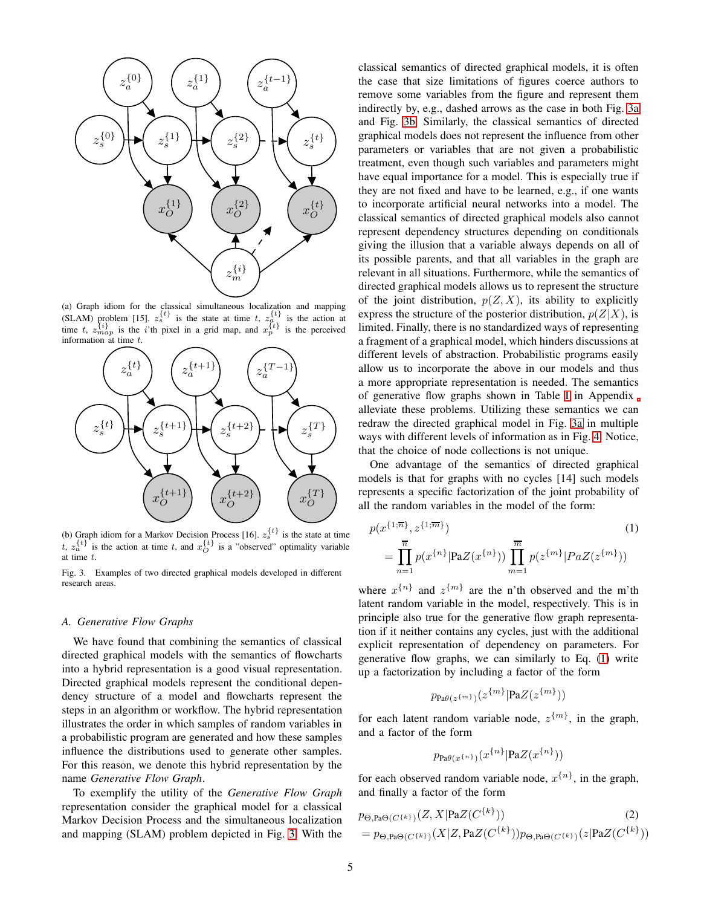<span id="page-4-2"></span>

(a) Graph idiom for the classical simultaneous localization and mapping (SLAM) problem [15].  $z_s^{\{t\}}$  is the state at time t,  $z_a^{\{t\}}$  is the action at time t,  $z_{map}^{\{i\}}$  is the i'th pixel in a grid map, and  $x_p^{\{t\}}$  is the perceived information at time t.



<span id="page-4-3"></span>(b) Graph idiom for a Markov Decision Process [16].  $z_s^{\{t\}}$  is the state at time t,  $z_a^{\{t\}}$  is the action at time t, and  $x_O^{\{t\}}$  is a "observed" optimality variable at time t.

<span id="page-4-1"></span>Fig. 3. Examples of two directed graphical models developed in different research areas.

## <span id="page-4-0"></span>*A. Generative Flow Graphs*

We have found that combining the semantics of classical directed graphical models with the semantics of flowcharts into a hybrid representation is a good visual representation. Directed graphical models represent the conditional dependency structure of a model and flowcharts represent the steps in an algorithm or workflow. The hybrid representation illustrates the order in which samples of random variables in a probabilistic program are generated and how these samples influence the distributions used to generate other samples. For this reason, we denote this hybrid representation by the name *Generative Flow Graph*.

To exemplify the utility of the *Generative Flow Graph* representation consider the graphical model for a classical Markov Decision Process and the simultaneous localization and mapping (SLAM) problem depicted in Fig. [3.](#page-4-1) With the

classical semantics of directed graphical models, it is often the case that size limitations of figures coerce authors to remove some variables from the figure and represent them indirectly by, e.g., dashed arrows as the case in both Fig. [3a](#page-4-2) and Fig. [3b.](#page-4-3) Similarly, the classical semantics of directed graphical models does not represent the influence from other parameters or variables that are not given a probabilistic treatment, even though such variables and parameters might have equal importance for a model. This is especially true if they are not fixed and have to be learned, e.g., if one wants to incorporate artificial neural networks into a model. The classical semantics of directed graphical models also cannot represent dependency structures depending on conditionals giving the illusion that a variable always depends on all of its possible parents, and that all variables in the graph are relevant in all situations. Furthermore, while the semantics of directed graphical models allows us to represent the structure of the joint distribution,  $p(Z, X)$ , its ability to explicitly express the structure of the posterior distribution,  $p(Z|X)$ , is limited. Finally, there is no standardized ways of representing a fragment of a graphical model, which hinders discussions at different levels of abstraction. Probabilistic programs easily allow us to incorporate the above in our models and thus a more appropriate representation is needed. The semantics of generative flow graphs shown in Table [I](#page-14-0) in Appendix alleviate these problems. Utilizing these semantics we can redraw the directed graphical model in Fig. [3a](#page-4-2) in multiple ways with different levels of information as in Fig. [4.](#page-5-0) Notice, that the choice of node collections is not unique.

One advantage of the semantics of directed graphical models is that for graphs with no cycles [14] such models represents a specific factorization of the joint probability of all the random variables in the model of the form:

$$
p(x^{\{1;\overline{n}\}}, z^{\{1;\overline{m}\}})
$$
\n
$$
= \prod_{n=1}^{\overline{n}} p(x^{\{n\}} | \text{PaZ}(x^{\{n\}})) \prod_{m=1}^{\overline{m}} p(z^{\{m\}} | PaZ(z^{\{m\}}))
$$
\n(1)

where  $x^{\{n\}}$  and  $z^{\{m\}}$  are the n'th observed and the m'th latent random variable in the model, respectively. This is in principle also true for the generative flow graph representation if it neither contains any cycles, just with the additional explicit representation of dependency on parameters. For generative flow graphs, we can similarly to Eq. [\(1\)](#page-4-4) write up a factorization by including a factor of the form

<span id="page-4-4"></span>
$$
p_{\mathrm{Pa\theta}(z^{\{m\}})}(z^{\{m\}}|\mathrm{PaZ}(z^{\{m\}}))
$$

for each latent random variable node,  $z^{\{m\}}$ , in the graph, and a factor of the form

<span id="page-4-5"></span>
$$
p_{\mathrm{Pa}\theta(x^{\{n\}})}(x^{\{n\}}|\mathrm{Pa}Z(x^{\{n\}}))
$$

for each observed random variable node,  $x^{\{n\}}$ , in the graph, and finally a factor of the form

$$
p_{\Theta, \text{Pa}\Theta(C^{\{k\}})}(Z, X | \text{Pa}Z(C^{\{k\}}))
$$
\n
$$
= p_{\Theta, \text{Pa}\Theta(C^{\{k\}})}(X | Z, \text{Pa}Z(C^{\{k\}})) p_{\Theta, \text{Pa}\Theta(C^{\{k\}})}(z | \text{Pa}Z(C^{\{k\}}))
$$
\n(2)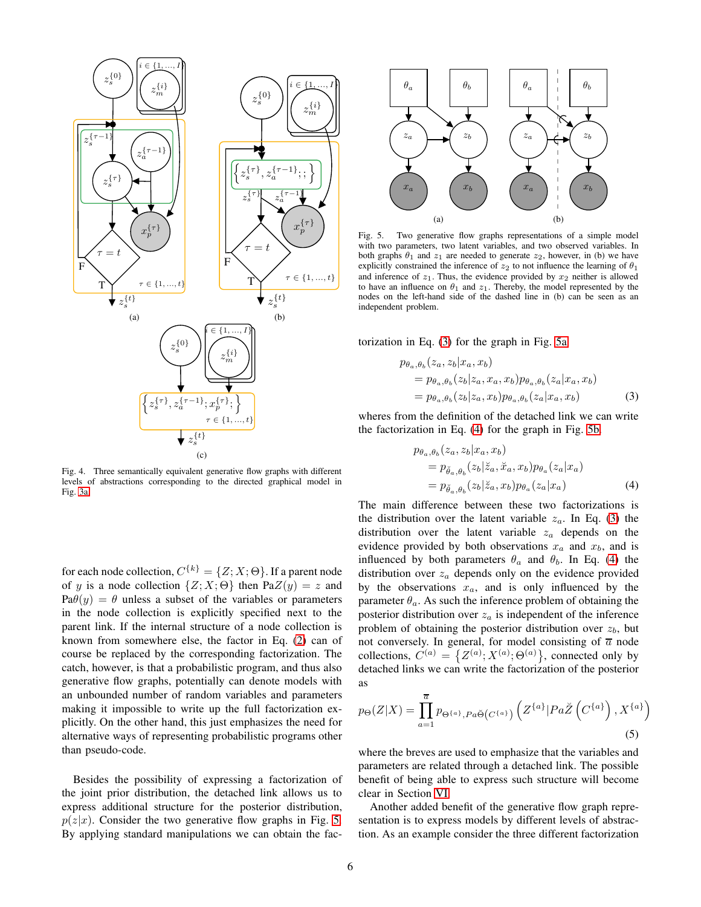<span id="page-5-6"></span>

<span id="page-5-8"></span><span id="page-5-0"></span>Fig. 4. Three semantically equivalent generative flow graphs with different levels of abstractions corresponding to the directed graphical model in Fig. [3a.](#page-4-2)

for each node collection,  $C^{\{k\}} = \{Z; X; \Theta\}$ . If a parent node of y is a node collection  $\{Z; X; \Theta\}$  then Pa $Z(y) = z$  and  $Pa\theta(y) = \theta$  unless a subset of the variables or parameters in the node collection is explicitly specified next to the parent link. If the internal structure of a node collection is known from somewhere else, the factor in Eq. [\(2\)](#page-4-5) can of course be replaced by the corresponding factorization. The catch, however, is that a probabilistic program, and thus also generative flow graphs, potentially can denote models with an unbounded number of random variables and parameters making it impossible to write up the full factorization explicitly. On the other hand, this just emphasizes the need for alternative ways of representing probabilistic programs other than pseudo-code.

Besides the possibility of expressing a factorization of the joint prior distribution, the detached link allows us to express additional structure for the posterior distribution,  $p(z|x)$ . Consider the two generative flow graphs in Fig. [5.](#page-5-1) By applying standard manipulations we can obtain the fac-

<span id="page-5-3"></span>

<span id="page-5-5"></span><span id="page-5-1"></span>Fig. 5. Two generative flow graphs representations of a simple model with two parameters, two latent variables, and two observed variables. In both graphs  $\theta_1$  and  $z_1$  are needed to generate  $z_2$ , however, in (b) we have explicitly constrained the inference of  $z_2$  to not influence the learning of  $\theta_1$ and inference of  $z_1$ . Thus, the evidence provided by  $x_2$  neither is allowed to have an influence on  $\theta_1$  and  $z_1$ . Thereby, the model represented by the nodes on the left-hand side of the dashed line in (b) can be seen as an independent problem.

<span id="page-5-7"></span>torization in Eq. [\(3\)](#page-5-2) for the graph in Fig. [5a.](#page-5-3)

$$
p_{\theta_a, \theta_b}(z_a, z_b | x_a, x_b)
$$
  
=  $p_{\theta_a, \theta_b}(z_b | z_a, x_a, x_b) p_{\theta_a, \theta_b}(z_a | x_a, x_b)$   
=  $p_{\theta_a, \theta_b}(z_b | z_a, x_b) p_{\theta_a, \theta_b}(z_a | x_a, x_b)$  (3)

wheres from the definition of the detached link we can write the factorization in Eq. [\(4\)](#page-5-4) for the graph in Fig. [5b.](#page-5-5)

<span id="page-5-4"></span><span id="page-5-2"></span>
$$
p_{\theta_a, \theta_b}(z_a, z_b | x_a, x_b)
$$
  
=  $p_{\check{\theta}_a, \theta_b}(z_b | \check{z}_a, \check{x}_a, x_b) p_{\theta_a}(z_a | x_a)$   
=  $p_{\check{\theta}_a, \theta_b}(z_b | \check{z}_a, x_b) p_{\theta_a}(z_a | x_a)$  (4)

The main difference between these two factorizations is the distribution over the latent variable  $z_a$ . In Eq. [\(3\)](#page-5-2) the distribution over the latent variable  $z_a$  depends on the evidence provided by both observations  $x_a$  and  $x_b$ , and is influenced by both parameters  $\theta_a$  and  $\theta_b$ . In Eq. [\(4\)](#page-5-4) the distribution over  $z_a$  depends only on the evidence provided by the observations  $x_a$ , and is only influenced by the parameter  $\theta_a$ . As such the inference problem of obtaining the posterior distribution over  $z_a$  is independent of the inference problem of obtaining the posterior distribution over  $z<sub>b</sub>$ , but not conversely. In general, for model consisting of  $\overline{a}$  node collections,  $C^{(a)} = \{Z^{(a)}; X^{(a)}; \Theta^{(a)}\}$ , connected only by detached links we can write the factorization of the posterior as

<span id="page-5-9"></span>
$$
p_{\Theta}(Z|X) = \prod_{a=1}^{\overline{a}} p_{\Theta^{\{a\}},Pa\breve{\Theta}(C^{\{a\}})} \left( Z^{\{a\}} | Pa\breve{Z} \left( C^{\{a\}} \right), X^{\{a\}} \right)
$$
(5)

where the breves are used to emphasize that the variables and parameters are related through a detached link. The possible benefit of being able to express such structure will become clear in Section [VI.](#page-7-0)

Another added benefit of the generative flow graph representation is to express models by different levels of abstraction. As an example consider the three different factorization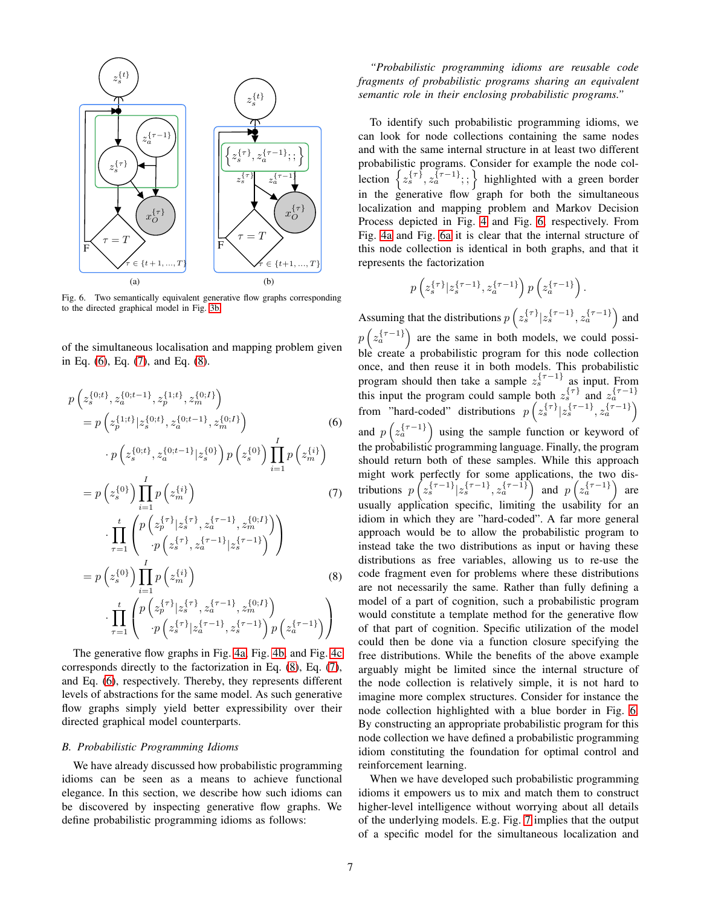<span id="page-6-5"></span>

<span id="page-6-4"></span>Fig. 6. Two semantically equivalent generative flow graphs corresponding to the directed graphical model in Fig. [3b.](#page-4-3)

of the simultaneous localisation and mapping problem given in Eq. [\(6\)](#page-6-1), Eq. [\(7\)](#page-6-2), and Eq. [\(8\)](#page-6-3).

$$
p(z_{s}^{\{0;t\}}, z_{a}^{\{0;t-1\}}, z_{p}^{\{1;t\}}, z_{m}^{\{0;t\}})
$$
\n
$$
= p(z_{p}^{\{1;t\}}|z_{s}^{\{0;t\}}, z_{a}^{\{0;t-1\}}, z_{m}^{\{0;t\}})
$$
\n
$$
\cdot p(z_{s}^{\{0;t\}}, z_{a}^{\{0;t-1\}}|z_{s}^{\{0\}}) p(z_{s}^{\{0\}}) \prod_{i=1}^{I} p(z_{m}^{\{i\}})
$$
\n
$$
= p(z_{s}^{\{0\}}) \prod_{i=1}^{I} p(z_{m}^{\{i\}})
$$
\n
$$
\cdot \prod_{\tau=1}^{t} \left( \frac{p(z_{p}^{\{\tau\}}|z_{s}^{\{\tau\}}, z_{a}^{\{\tau-1\}}, z_{m}^{\{0;t\}})}{p(z_{s}^{\{\tau\}}, z_{a}^{\{\tau-1\}}|z_{s}^{\{\tau-1\}})} \right)
$$
\n
$$
= p(z_{s}^{\{0\}}) \prod_{i=1}^{I} p(z_{m}^{\{\tau\}}, z_{a}^{\{\tau-1\}}|z_{s}^{\{\tau-1\}})
$$
\n
$$
\cdot \prod_{\tau=1}^{t} \left( \frac{p(z_{p}^{\{\tau\}}|z_{s}^{\{\tau\}}, z_{a}^{\{\tau-1\}}, z_{m}^{\{0;t\}})}{p(z_{p}^{\{\tau\}}|z_{s}^{\{\tau-1\}}, z_{m}^{\{0;t\}})} \right)
$$
\n
$$
\cdot \prod_{\tau=1}^{t} \left( \frac{p(z_{p}^{\{\tau\}}|z_{s}^{\{\tau-1\}}, z_{a}^{\{\tau-1\}}, z_{m}^{\{\tau-1\}})}{p(z_{s}^{\{\tau-1\}}|z_{s}^{\{\tau-1\}}|z_{s}^{\{\tau-1\}})} \right)
$$

The generative flow graphs in Fig. [4a,](#page-5-6) Fig. [4b,](#page-5-7) and Fig. [4c](#page-5-8) corresponds directly to the factorization in Eq. [\(8\)](#page-6-3), Eq. [\(7\)](#page-6-2), and Eq. [\(6\)](#page-6-1), respectively. Thereby, they represents different levels of abstractions for the same model. As such generative flow graphs simply yield better expressibility over their directed graphical model counterparts.

#### <span id="page-6-0"></span>*B. Probabilistic Programming Idioms*

We have already discussed how probabilistic programming idioms can be seen as a means to achieve functional elegance. In this section, we describe how such idioms can be discovered by inspecting generative flow graphs. We define probabilistic programming idioms as follows:

*"Probabilistic programming idioms are reusable code fragments of probabilistic programs sharing an equivalent semantic role in their enclosing probabilistic programs."*

To identify such probabilistic programming idioms, we can look for node collections containing the same nodes and with the same internal structure in at least two different probabilistic programs. Consider for example the node collection  $\left\{z_s^{\{\tau\}}, z_a^{\{\tau-1\}};\right\}$  highlighted with a green border in the generative flow graph for both the simultaneous localization and mapping problem and Markov Decision Process depicted in Fig. [4](#page-5-0) and Fig. [6,](#page-6-4) respectively. From Fig. [4a](#page-5-6) and Fig. [6a](#page-6-5) it is clear that the internal structure of this node collection is identical in both graphs, and that it represents the factorization

$$
p\left(z_s^{\{\tau \}}|z_s^{\{\tau-1\}},z_a^{\{\tau-1\}}\right)p\left(z_a^{\{\tau-1\}}\right).
$$

<span id="page-6-2"></span><span id="page-6-1"></span>Assuming that the distributions  $p\left(z_s^{\{\tau\}}|z_s^{\{\tau-1\}}, z_a^{\{\tau-1\}}\right)$  and  $p\left(z_a^{\{\tau-1\}}\right)$  are the same in both models, we could possible create a probabilistic program for this node collection once, and then reuse it in both models. This probabilistic program should then take a sample  $z_s^{\{\tau-1\}}$  as input. From this input the program could sample both  $z_s^{\{\tau\}}$  and  $z_a^{\{\tau-1\}}$ from "hard-coded" distributions  $p\left(z_s^{\{\tau\}}|z_s^{\{\tau-1\}}, z_a^{\{\tau-1\}}\right)$ and  $p\left(z_a^{\{\tau-1\}}\right)$  using the sample function or keyword of the probabilistic programming language. Finally, the program should return both of these samples. While this approach might work perfectly for some applications, the two distributions  $p\left(z_s^{\{\tau-1\}}|z_s^{\{\tau-1\}}, z_a^{\{\tau-1\}}\right)$  and  $p\left(z_a^{\{\tau-1\}}\right)$  are usually application specific, limiting the usability for an idiom in which they are "hard-coded". A far more general approach would be to allow the probabilistic program to instead take the two distributions as input or having these distributions as free variables, allowing us to re-use the code fragment even for problems where these distributions are not necessarily the same. Rather than fully defining a model of a part of cognition, such a probabilistic program would constitute a template method for the generative flow of that part of cognition. Specific utilization of the model could then be done via a function closure specifying the free distributions. While the benefits of the above example arguably might be limited since the internal structure of the node collection is relatively simple, it is not hard to imagine more complex structures. Consider for instance the node collection highlighted with a blue border in Fig. [6.](#page-6-4) By constructing an appropriate probabilistic program for this node collection we have defined a probabilistic programming idiom constituting the foundation for optimal control and reinforcement learning.

<span id="page-6-3"></span>When we have developed such probabilistic programming idioms it empowers us to mix and match them to construct higher-level intelligence without worrying about all details of the underlying models. E.g. Fig. [7](#page-7-1) implies that the output of a specific model for the simultaneous localization and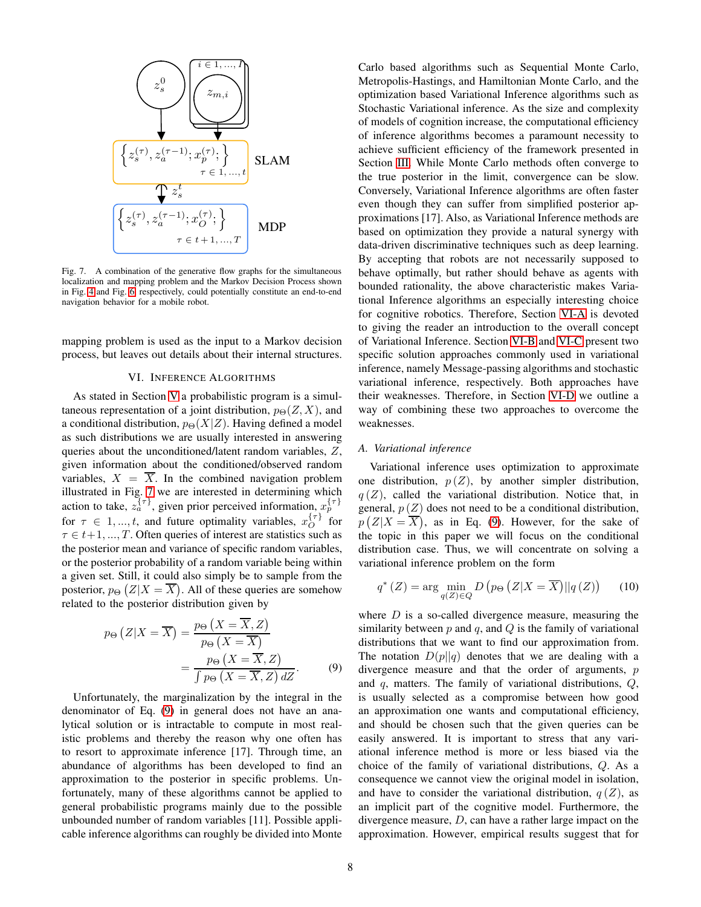

<span id="page-7-1"></span>Fig. 7. A combination of the generative flow graphs for the simultaneous localization and mapping problem and the Markov Decision Process shown in Fig. [4](#page-5-0) and Fig. [6,](#page-6-4) respectively, could potentially constitute an end-to-end navigation behavior for a mobile robot.

<span id="page-7-0"></span>mapping problem is used as the input to a Markov decision process, but leaves out details about their internal structures.

# VI. INFERENCE ALGORITHMS

As stated in Section [V](#page-3-0) a probabilistic program is a simultaneous representation of a joint distribution,  $p_{\Theta}(Z, X)$ , and a conditional distribution,  $p_{\Theta}(X|Z)$ . Having defined a model as such distributions we are usually interested in answering queries about the unconditioned/latent random variables, Z, given information about the conditioned/observed random variables,  $X = \overline{X}$ . In the combined navigation problem illustrated in Fig. [7](#page-7-1) we are interested in determining which action to take,  $z_a^{\{\tau\}}$ , given prior perceived information,  $x_p^{\{\tau\}}$ for  $\tau \in 1, ..., t$ , and future optimality variables,  $x_O^{\{\tau\}}$  for  $\tau \in t+1, ..., T$ . Often queries of interest are statistics such as the posterior mean and variance of specific random variables, or the posterior probability of a random variable being within a given set. Still, it could also simply be to sample from the posterior,  $p_{\Theta} (Z | X = \overline{X})$ . All of these queries are somehow related to the posterior distribution given by

$$
p_{\Theta} (Z|X = \overline{X}) = \frac{p_{\Theta} (X = \overline{X}, Z)}{p_{\Theta} (X = \overline{X})}
$$

$$
= \frac{p_{\Theta} (X = \overline{X}, Z)}{\int p_{\Theta} (X = \overline{X}, Z) dZ}.
$$
(9)

Unfortunately, the marginalization by the integral in the denominator of Eq. [\(9\)](#page-7-2) in general does not have an analytical solution or is intractable to compute in most realistic problems and thereby the reason why one often has to resort to approximate inference [17]. Through time, an abundance of algorithms has been developed to find an approximation to the posterior in specific problems. Unfortunately, many of these algorithms cannot be applied to general probabilistic programs mainly due to the possible unbounded number of random variables [11]. Possible applicable inference algorithms can roughly be divided into Monte

Carlo based algorithms such as Sequential Monte Carlo, Metropolis-Hastings, and Hamiltonian Monte Carlo, and the optimization based Variational Inference algorithms such as Stochastic Variational inference. As the size and complexity of models of cognition increase, the computational efficiency of inference algorithms becomes a paramount necessity to achieve sufficient efficiency of the framework presented in Section [III.](#page-1-1) While Monte Carlo methods often converge to the true posterior in the limit, convergence can be slow. Conversely, Variational Inference algorithms are often faster even though they can suffer from simplified posterior approximations [17]. Also, as Variational Inference methods are based on optimization they provide a natural synergy with data-driven discriminative techniques such as deep learning. By accepting that robots are not necessarily supposed to behave optimally, but rather should behave as agents with bounded rationality, the above characteristic makes Variational Inference algorithms an especially interesting choice for cognitive robotics. Therefore, Section [VI-A](#page-7-3) is devoted to giving the reader an introduction to the overall concept of Variational Inference. Section [VI-B](#page-8-0) and [VI-C](#page-8-1) present two specific solution approaches commonly used in variational inference, namely Message-passing algorithms and stochastic variational inference, respectively. Both approaches have their weaknesses. Therefore, in Section [VI-D](#page-9-0) we outline a way of combining these two approaches to overcome the weaknesses.

## <span id="page-7-3"></span>*A. Variational inference*

Variational inference uses optimization to approximate one distribution,  $p(Z)$ , by another simpler distribution,  $q(Z)$ , called the variational distribution. Notice that, in general,  $p(Z)$  does not need to be a conditional distribution,  $p(Z|X = \overline{X})$ , as in Eq. [\(9\)](#page-7-2). However, for the sake of the topic in this paper we will focus on the conditional distribution case. Thus, we will concentrate on solving a variational inference problem on the form

<span id="page-7-4"></span>
$$
q^*(Z) = \arg\min_{q(Z)\in Q} D\left(p_{\Theta}\left(Z|X=\overline{X}\right)||q\left(Z\right)\right) \tag{10}
$$

<span id="page-7-2"></span>where  $D$  is a so-called divergence measure, measuring the similarity between  $p$  and  $q$ , and  $Q$  is the family of variational distributions that we want to find our approximation from. The notation  $D(p||q)$  denotes that we are dealing with a divergence measure and that the order of arguments, p and  $q$ , matters. The family of variational distributions,  $Q$ , is usually selected as a compromise between how good an approximation one wants and computational efficiency, and should be chosen such that the given queries can be easily answered. It is important to stress that any variational inference method is more or less biased via the choice of the family of variational distributions, Q. As a consequence we cannot view the original model in isolation, and have to consider the variational distribution,  $q(Z)$ , as an implicit part of the cognitive model. Furthermore, the divergence measure, D, can have a rather large impact on the approximation. However, empirical results suggest that for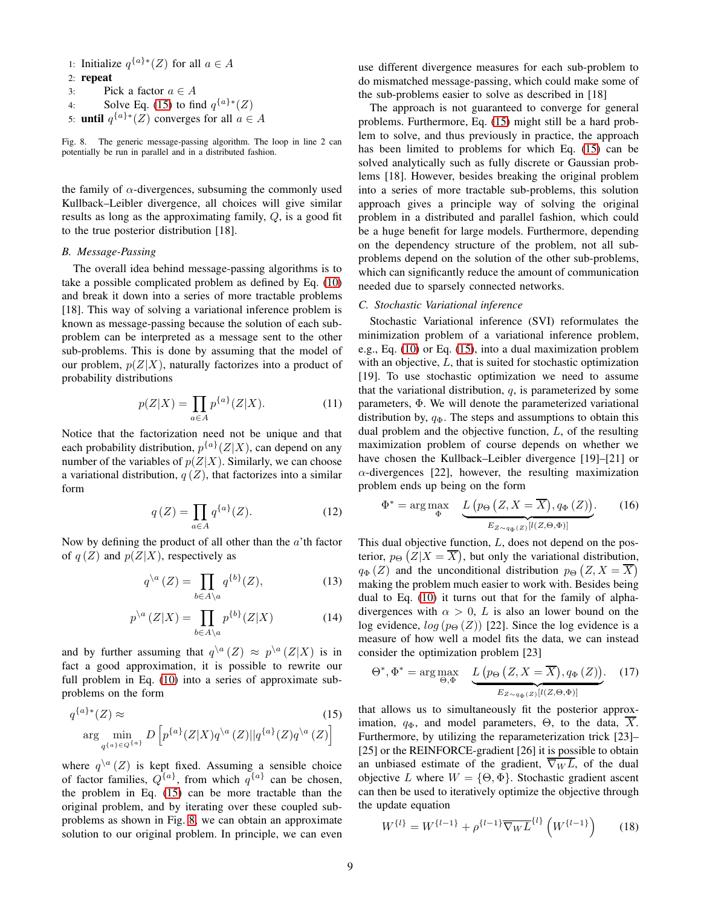- 1: Initialize  $q^{\{a\}\ast}(Z)$  for all  $a \in A$
- 2: repeat
- 3: Pick a factor  $a \in A$
- 4: Solve Eq. [\(15\)](#page-8-2) to find  $q^{\{a\}*}(Z)$
- 5: **until**  $q^{\{a\}\ast}(Z)$  converges for all  $a \in A$

<span id="page-8-3"></span>Fig. 8. The generic message-passing algorithm. The loop in line 2 can potentially be run in parallel and in a distributed fashion.

the family of  $\alpha$ -divergences, subsuming the commonly used Kullback–Leibler divergence, all choices will give similar results as long as the approximating family, Q, is a good fit to the true posterior distribution [18].

# <span id="page-8-0"></span>*B. Message-Passing*

The overall idea behind message-passing algorithms is to take a possible complicated problem as defined by Eq. [\(10\)](#page-7-4) and break it down into a series of more tractable problems [18]. This way of solving a variational inference problem is known as message-passing because the solution of each subproblem can be interpreted as a message sent to the other sub-problems. This is done by assuming that the model of our problem,  $p(Z|X)$ , naturally factorizes into a product of probability distributions

$$
p(Z|X) = \prod_{a \in A} p^{\{a\}}(Z|X).
$$
 (11)

Notice that the factorization need not be unique and that each probability distribution,  $p^{\{a\}}(Z|X)$ , can depend on any number of the variables of  $p(Z|X)$ . Similarly, we can choose a variational distribution,  $q(Z)$ , that factorizes into a similar form

$$
q(Z) = \prod_{a \in A} q^{\{a\}}(Z). \tag{12}
$$

Now by defining the product of all other than the  $a'$ <sup>th</sup> factor of  $q(Z)$  and  $p(Z|X)$ , respectively as

$$
q^{\setminus a}(Z) = \prod_{b \in A \setminus a} q^{\{b\}}(Z),\tag{13}
$$

$$
p^{\setminus a}\left(Z|X\right) = \prod_{b \in A \setminus a} p^{\{b\}}(Z|X) \tag{14}
$$

and by further assuming that  $q^{n} (Z) \approx p^{n} (Z|X)$  is in fact a good approximation, it is possible to rewrite our full problem in Eq. [\(10\)](#page-7-4) into a series of approximate subproblems on the form

$$
q^{\{a\}*}(Z) \approx \text{(15)}
$$
\n
$$
\arg\min_{q^{\{a\} \in Q^{\{a\}}} D\left[p^{\{a\}}(Z|X)q^{\{a\}}(Z)||q^{\{a\}}(Z)q^{\{a\}}(Z)\right]
$$

where  $q^{a}(Z)$  is kept fixed. Assuming a sensible choice of factor families,  $Q^{\{a\}}$ , from which  $q^{\{a\}}$  can be chosen, the problem in Eq. [\(15\)](#page-8-2) can be more tractable than the original problem, and by iterating over these coupled subproblems as shown in Fig. [8,](#page-8-3) we can obtain an approximate solution to our original problem. In principle, we can even use different divergence measures for each sub-problem to do mismatched message-passing, which could make some of the sub-problems easier to solve as described in [18]

The approach is not guaranteed to converge for general problems. Furthermore, Eq. [\(15\)](#page-8-2) might still be a hard problem to solve, and thus previously in practice, the approach has been limited to problems for which Eq. [\(15\)](#page-8-2) can be solved analytically such as fully discrete or Gaussian problems [18]. However, besides breaking the original problem into a series of more tractable sub-problems, this solution approach gives a principle way of solving the original problem in a distributed and parallel fashion, which could be a huge benefit for large models. Furthermore, depending on the dependency structure of the problem, not all subproblems depend on the solution of the other sub-problems, which can significantly reduce the amount of communication needed due to sparsely connected networks.

## <span id="page-8-1"></span>*C. Stochastic Variational inference*

Stochastic Variational inference (SVI) reformulates the minimization problem of a variational inference problem, e.g., Eq. [\(10\)](#page-7-4) or Eq. [\(15\)](#page-8-2), into a dual maximization problem with an objective, L, that is suited for stochastic optimization [19]. To use stochastic optimization we need to assume that the variational distribution,  $q$ , is parameterized by some parameters, Φ. We will denote the parameterized variational distribution by,  $q_{\Phi}$ . The steps and assumptions to obtain this dual problem and the objective function, L, of the resulting maximization problem of course depends on whether we have chosen the Kullback–Leibler divergence [19]–[21] or  $\alpha$ -divergences [22], however, the resulting maximization problem ends up being on the form

$$
\Phi^* = \arg \max_{\Phi} \quad \underbrace{L\left(p_{\Theta}\left(Z, X = \overline{X}\right), q_{\Phi}\left(Z\right)\right)}_{E_{Z \sim q_{\Phi}\left(Z\right)}[l(Z, \Theta, \Phi)]} . \tag{16}
$$

<span id="page-8-5"></span>This dual objective function, L, does not depend on the posterior,  $p_{\Theta} (Z | X = \overline{X})$ , but only the variational distribution,  $q_{\Phi}(Z)$  and the unconditional distribution  $p_{\Theta}(Z, X = \overline{X})$ making the problem much easier to work with. Besides being dual to Eq. [\(10\)](#page-7-4) it turns out that for the family of alphadivergences with  $\alpha > 0$ , L is also an lower bound on the log evidence,  $log(p_{\Theta}(Z))$  [22]. Since the log evidence is a measure of how well a model fits the data, we can instead consider the optimization problem [23]

<span id="page-8-4"></span>
$$
\Theta^*, \Phi^* = \arg \max_{\Theta, \Phi} \quad \underbrace{L\left(p_{\Theta}\left(Z, X = \overline{X}\right), q_{\Phi}\left(Z\right)\right)}_{E_{Z \sim q_{\Phi}\left(Z\right)}[l(Z, \Theta, \Phi)]}. \quad (17)
$$

<span id="page-8-2"></span>that allows us to simultaneously fit the posterior approximation,  $q_{\Phi}$ , and model parameters,  $\Theta$ , to the data,  $\overline{X}$ . Furthermore, by utilizing the reparameterization trick [23]– [25] or the REINFORCE-gradient [26] it is possible to obtain an unbiased estimate of the gradient,  $\overline{\nabla_W L}$ , of the dual objective L where  $W = \{\Theta, \Phi\}$ . Stochastic gradient ascent can then be used to iteratively optimize the objective through the update equation

$$
W^{\{l\}} = W^{\{l-1\}} + \rho^{\{l-1\}} \overline{\nabla_W L}^{\{l\}} \left( W^{\{l-1\}} \right) \tag{18}
$$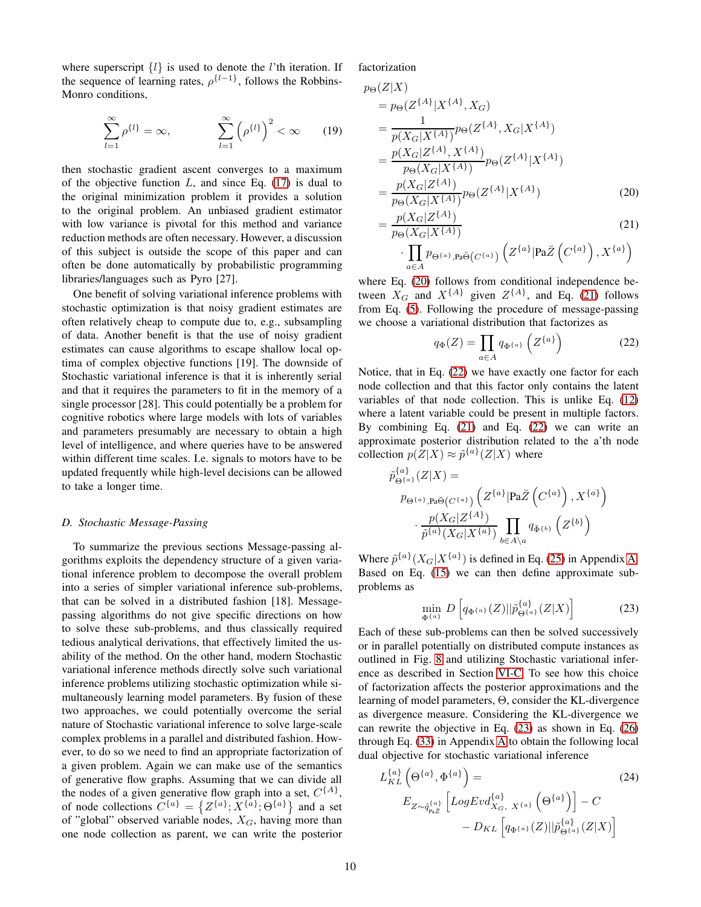where superscript  $\{l\}$  is used to denote the *l*'th iteration. If the sequence of learning rates,  $\rho^{\{l-1\}}$ , follows the Robbins-Monro conditions,

$$
\sum_{l=1}^{\infty} \rho^{\{l\}} = \infty, \qquad \sum_{l=1}^{\infty} \left( \rho^{\{l\}} \right)^2 < \infty \qquad (19)
$$

then stochastic gradient ascent converges to a maximum of the objective function  $L$ , and since Eq. [\(17\)](#page-8-4) is dual to the original minimization problem it provides a solution to the original problem. An unbiased gradient estimator with low variance is pivotal for this method and variance reduction methods are often necessary. However, a discussion of this subject is outside the scope of this paper and can often be done automatically by probabilistic programming libraries/languages such as Pyro [27].

One benefit of solving variational inference problems with stochastic optimization is that noisy gradient estimates are often relatively cheap to compute due to, e.g., subsampling of data. Another benefit is that the use of noisy gradient estimates can cause algorithms to escape shallow local optima of complex objective functions [19]. The downside of Stochastic variational inference is that it is inherently serial and that it requires the parameters to fit in the memory of a single processor [28]. This could potentially be a problem for cognitive robotics where large models with lots of variables and parameters presumably are necessary to obtain a high level of intelligence, and where queries have to be answered within different time scales. I.e. signals to motors have to be updated frequently while high-level decisions can be allowed to take a longer time.

# <span id="page-9-0"></span>*D. Stochastic Message-Passing*

To summarize the previous sections Message-passing algorithms exploits the dependency structure of a given variational inference problem to decompose the overall problem into a series of simpler variational inference sub-problems, that can be solved in a distributed fashion [18]. Messagepassing algorithms do not give specific directions on how to solve these sub-problems, and thus classically required tedious analytical derivations, that effectively limited the usability of the method. On the other hand, modern Stochastic variational inference methods directly solve such variational inference problems utilizing stochastic optimization while simultaneously learning model parameters. By fusion of these two approaches, we could potentially overcome the serial nature of Stochastic variational inference to solve large-scale complex problems in a parallel and distributed fashion. However, to do so we need to find an appropriate factorization of a given problem. Again we can make use of the semantics of generative flow graphs. Assuming that we can divide all the nodes of a given generative flow graph into a set,  $C^{\{A\}}$ , of node collections  $C^{\{a\}} = \{Z^{\{a\}}; X^{\{a\}}; \Theta^{\{a\}}\}\$  and a set of "global" observed variable nodes,  $X_G$ , having more than one node collection as parent, we can write the posterior

# factorization

 $p_{\Theta}(Z|X)$ 

$$
= p_{\Theta}(Z^{\{A\}}|X^{\{A\}}, X_G)
$$
  
\n
$$
= \frac{1}{p(X_G|X^{\{A\}})} p_{\Theta}(Z^{\{A\}}, X_G|X^{\{A\}})
$$
  
\n
$$
= \frac{p(X_G|Z^{\{A\}}, X^{\{A\}})}{p_{\Theta}(X_G|X^{\{A\}})} p_{\Theta}(Z^{\{A\}}|X^{\{A\}})
$$
  
\n
$$
= \frac{p(X_G|Z^{\{A\}})}{p_{\Theta}(X_G|X^{\{A\}})} p_{\Theta}(Z^{\{A\}}|X^{\{A\}})
$$
(20)

$$
= \frac{p(X_G|Z^{\{A\}})}{p_{\Theta}(X_G|X^{\{A\}})} \qquad (21)
$$

$$
\cdot \prod_{a \in A} p_{\Theta^{\{a\}},\mathbf{Pa}\breve{\Theta}}(C^{\{a\}}) \left(Z^{\{a\}}|\mathbf{Pa}\breve{Z}\left(C^{\{a\}}\right),X^{\{a\}}\right)
$$

where Eq. [\(20\)](#page-9-1) follows from conditional independence between  $X_G$  and  $X^{\{A\}}$  given  $Z^{\{A\}}$ , and Eq. [\(21\)](#page-9-2) follows from Eq. [\(5\)](#page-5-9). Following the procedure of message-passing we choose a variational distribution that factorizes as

<span id="page-9-3"></span><span id="page-9-2"></span><span id="page-9-1"></span>
$$
q_{\Phi}(Z) = \prod_{a \in A} q_{\Phi^{\{a\}}}\left(Z^{\{a\}}\right) \tag{22}
$$

Notice, that in Eq. [\(22\)](#page-9-3) we have exactly one factor for each node collection and that this factor only contains the latent variables of that node collection. This is unlike Eq. [\(12\)](#page-8-5) where a latent variable could be present in multiple factors. By combining Eq.  $(21)$  and Eq.  $(22)$  we can write an approximate posterior distribution related to the a'th node collection  $p(Z|X) \approx \tilde{p}^{\{a\}}(Z|X)$  where

$$
\tilde{p}_{\Theta^{\{a\}}(Z|X)}^{\{a\}}(Z|X) =
$$
\n
$$
p_{\Theta^{\{a\}},\mathsf{Pa}\breve{\Theta}(C^{\{a\}})}\left(Z^{\{a\}}|\text{Pa}\breve{Z}(C^{\{a\}}),X^{\{a\}}\right)
$$
\n
$$
\cdot \frac{p(X_G|Z^{\{A\}})}{\tilde{p}^{\{a\}}(X_G|X^{\{a\}})}\prod_{b\in A\setminus a} q_{\breve{\Phi}^{\{b\}}}\left(Z^{\{b\}}\right)
$$

Where  $\tilde{p}^{\{a\}}(X_G|X^{\{a\}})$  is defined in Eq. [\(25\)](#page-13-0) in Appendix [A.](#page-13-1) Based on Eq. [\(15\)](#page-8-2) we can then define approximate subproblems as

<span id="page-9-4"></span>
$$
\min_{\Phi^{\{a\}}} D\left[q_{\Phi^{\{a\}}}(Z)||\tilde{p}_{\Theta^{\{a\}}}(Z|X)\right] \tag{23}
$$

Each of these sub-problems can then be solved successively or in parallel potentially on distributed compute instances as outlined in Fig. [8](#page-8-3) and utilizing Stochastic variational inference as described in Section [VI-C.](#page-8-1) To see how this choice of factorization affects the posterior approximations and the learning of model parameters, Θ, consider the KL-divergence as divergence measure. Considering the KL-divergence we can rewrite the objective in Eq. [\(23\)](#page-9-4) as shown in Eq. [\(26\)](#page-13-2) through Eq. [\(33\)](#page-15-0) in Appendix [A](#page-13-1) to obtain the following local dual objective for stochastic variational inference

<span id="page-9-5"></span>
$$
L_{KL}^{\{a\}}\left(\Theta^{\{a\}}, \Phi^{\{a\}}\right) =
$$
\n
$$
E_{Z \sim \tilde{q}_{\text{PaZ}}^{\{a\}}}\left[LogEvd_{X_G, X^{\{a\}}}^{\{a\}}\left(\Theta^{\{a\}}\right)\right] - C
$$
\n
$$
- D_{KL}\left[q_{\Phi^{\{a\}}}(Z)||\tilde{p}_{\Theta^{\{a\}}}^{\{a\}}(Z|X)\right]
$$
\n(24)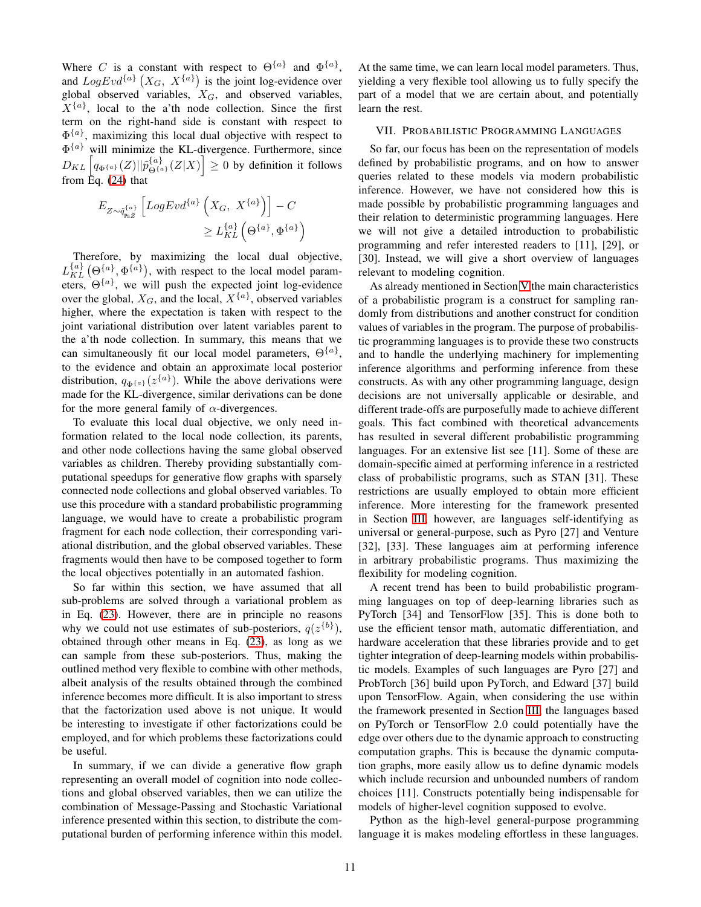Where C is a constant with respect to  $\Theta^{\{a\}}$  and  $\Phi^{\{a\}}$ , and  $LogEvd^{\{a\}}(X_G, X^{\{a\}})$  is the joint log-evidence over global observed variables,  $X_G$ , and observed variables,  $X^{\{a\}}$ , local to the a'th node collection. Since the first term on the right-hand side is constant with respect to  $\Phi^{\{a\}}$ , maximizing this local dual objective with respect to  $\Phi^{\{a\}}$  will minimize the KL-divergence. Furthermore, since  $D_{KL}\left[q_{\Phi^{\{a\}}}(Z)||\tilde{p}_{\Theta^{\{a\}}}^{\{a\}}(Z|X)\right] \geq 0$  by definition it follows from  $\text{Eq.} (24)$  $\text{Eq.} (24)$  that

$$
E_{Z \sim \tilde{q}_{p_a Z}^{\{a\}}}\left[LogEvd^{\{a\}}\left(X_G, \ X^{\{a\}}\right)\right] - C
$$
  

$$
\geq L_{KL}^{\{a\}}\left(\Theta^{\{a\}}, \Phi^{\{a\}}\right)
$$

Therefore, by maximizing the local dual objective,  $L_{KL}^{\{a\}}(\Theta_{\{a\}}^{\{a\}}), \Phi^{\{a\}}),$  with respect to the local model parameters,  $\Theta^{\{a\}}$ , we will push the expected joint log-evidence over the global,  $X_G$ , and the local,  $X^{\{a\}}$ , observed variables higher, where the expectation is taken with respect to the joint variational distribution over latent variables parent to the a'th node collection. In summary, this means that we can simultaneously fit our local model parameters,  $\Theta^{\{a\}}$ , to the evidence and obtain an approximate local posterior distribution,  $q_{\Phi^{\{a\}}} (z^{\{a\}})$ . While the above derivations were made for the KL-divergence, similar derivations can be done for the more general family of  $\alpha$ -divergences.

To evaluate this local dual objective, we only need information related to the local node collection, its parents, and other node collections having the same global observed variables as children. Thereby providing substantially computational speedups for generative flow graphs with sparsely connected node collections and global observed variables. To use this procedure with a standard probabilistic programming language, we would have to create a probabilistic program fragment for each node collection, their corresponding variational distribution, and the global observed variables. These fragments would then have to be composed together to form the local objectives potentially in an automated fashion.

So far within this section, we have assumed that all sub-problems are solved through a variational problem as in Eq. [\(23\)](#page-9-4). However, there are in principle no reasons why we could not use estimates of sub-posteriors,  $q(z^{\{b\}})$ , obtained through other means in Eq. [\(23\)](#page-9-4), as long as we can sample from these sub-posteriors. Thus, making the outlined method very flexible to combine with other methods, albeit analysis of the results obtained through the combined inference becomes more difficult. It is also important to stress that the factorization used above is not unique. It would be interesting to investigate if other factorizations could be employed, and for which problems these factorizations could be useful.

In summary, if we can divide a generative flow graph representing an overall model of cognition into node collections and global observed variables, then we can utilize the combination of Message-Passing and Stochastic Variational inference presented within this section, to distribute the computational burden of performing inference within this model. At the same time, we can learn local model parameters. Thus, yielding a very flexible tool allowing us to fully specify the part of a model that we are certain about, and potentially learn the rest.

## <span id="page-10-0"></span>VII. PROBABILISTIC PROGRAMMING LANGUAGES

So far, our focus has been on the representation of models defined by probabilistic programs, and on how to answer queries related to these models via modern probabilistic inference. However, we have not considered how this is made possible by probabilistic programming languages and their relation to deterministic programming languages. Here we will not give a detailed introduction to probabilistic programming and refer interested readers to [11], [29], or [30]. Instead, we will give a short overview of languages relevant to modeling cognition.

As already mentioned in Section [V](#page-3-0) the main characteristics of a probabilistic program is a construct for sampling randomly from distributions and another construct for condition values of variables in the program. The purpose of probabilistic programming languages is to provide these two constructs and to handle the underlying machinery for implementing inference algorithms and performing inference from these constructs. As with any other programming language, design decisions are not universally applicable or desirable, and different trade-offs are purposefully made to achieve different goals. This fact combined with theoretical advancements has resulted in several different probabilistic programming languages. For an extensive list see [11]. Some of these are domain-specific aimed at performing inference in a restricted class of probabilistic programs, such as STAN [31]. These restrictions are usually employed to obtain more efficient inference. More interesting for the framework presented in Section [III,](#page-1-1) however, are languages self-identifying as universal or general-purpose, such as Pyro [27] and Venture [32], [33]. These languages aim at performing inference in arbitrary probabilistic programs. Thus maximizing the flexibility for modeling cognition.

A recent trend has been to build probabilistic programming languages on top of deep-learning libraries such as PyTorch [34] and TensorFlow [35]. This is done both to use the efficient tensor math, automatic differentiation, and hardware acceleration that these libraries provide and to get tighter integration of deep-learning models within probabilistic models. Examples of such languages are Pyro [27] and ProbTorch [36] build upon PyTorch, and Edward [37] build upon TensorFlow. Again, when considering the use within the framework presented in Section [III,](#page-1-1) the languages based on PyTorch or TensorFlow 2.0 could potentially have the edge over others due to the dynamic approach to constructing computation graphs. This is because the dynamic computation graphs, more easily allow us to define dynamic models which include recursion and unbounded numbers of random choices [11]. Constructs potentially being indispensable for models of higher-level cognition supposed to evolve.

Python as the high-level general-purpose programming language it is makes modeling effortless in these languages.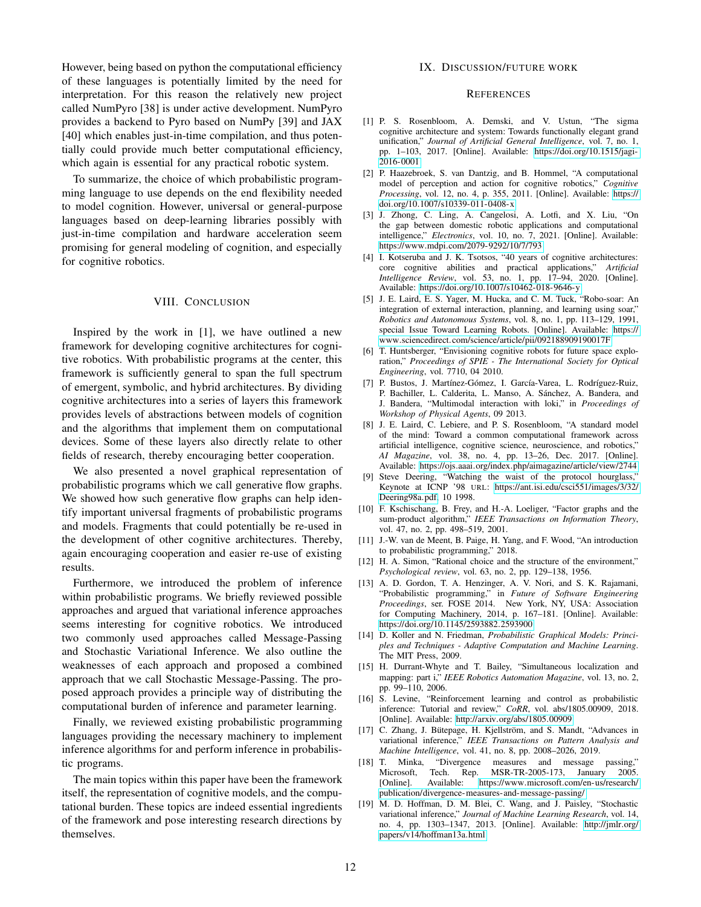However, being based on python the computational efficiency of these languages is potentially limited by the need for interpretation. For this reason the relatively new project called NumPyro [38] is under active development. NumPyro provides a backend to Pyro based on NumPy [39] and JAX [40] which enables just-in-time compilation, and thus potentially could provide much better computational efficiency, which again is essential for any practical robotic system.

To summarize, the choice of which probabilistic programming language to use depends on the end flexibility needed to model cognition. However, universal or general-purpose languages based on deep-learning libraries possibly with just-in-time compilation and hardware acceleration seem promising for general modeling of cognition, and especially for cognitive robotics.

# VIII. CONCLUSION

Inspired by the work in [1], we have outlined a new framework for developing cognitive architectures for cognitive robotics. With probabilistic programs at the center, this framework is sufficiently general to span the full spectrum of emergent, symbolic, and hybrid architectures. By dividing cognitive architectures into a series of layers this framework provides levels of abstractions between models of cognition and the algorithms that implement them on computational devices. Some of these layers also directly relate to other fields of research, thereby encouraging better cooperation.

We also presented a novel graphical representation of probabilistic programs which we call generative flow graphs. We showed how such generative flow graphs can help identify important universal fragments of probabilistic programs and models. Fragments that could potentially be re-used in the development of other cognitive architectures. Thereby, again encouraging cooperation and easier re-use of existing results.

Furthermore, we introduced the problem of inference within probabilistic programs. We briefly reviewed possible approaches and argued that variational inference approaches seems interesting for cognitive robotics. We introduced two commonly used approaches called Message-Passing and Stochastic Variational Inference. We also outline the weaknesses of each approach and proposed a combined approach that we call Stochastic Message-Passing. The proposed approach provides a principle way of distributing the computational burden of inference and parameter learning.

Finally, we reviewed existing probabilistic programming languages providing the necessary machinery to implement inference algorithms for and perform inference in probabilistic programs.

The main topics within this paper have been the framework itself, the representation of cognitive models, and the computational burden. These topics are indeed essential ingredients of the framework and pose interesting research directions by themselves.

# IX. DISCUSSION/FUTURE WORK

## **REFERENCES**

- [1] P. S. Rosenbloom, A. Demski, and V. Ustun, "The sigma cognitive architecture and system: Towards functionally elegant grand unification," *Journal of Artificial General Intelligence*, vol. 7, no. 1, pp. 1–103, 2017. [Online]. Available: [https://doi](https://doi.org/10.1515/jagi-2016-0001).org/10.1515/jagi-[2016-0001](https://doi.org/10.1515/jagi-2016-0001)
- [2] P. Haazebroek, S. van Dantzig, and B. Hommel, "A computational model of perception and action for cognitive robotics," *Cognitive Processing*, vol. 12, no. 4, p. 355, 2011. [Online]. Available: [https://](https://doi.org/10.1007/s10339-011-0408-x) doi.org/10.[1007/s10339-011-0408-x](https://doi.org/10.1007/s10339-011-0408-x)
- [3] J. Zhong, C. Ling, A. Cangelosi, A. Lotfi, and X. Liu, "On the gap between domestic robotic applications and computational intelligence," *Electronics*, vol. 10, no. 7, 2021. [Online]. Available: https://www.mdpi.[com/2079-9292/10/7/793](https://www.mdpi.com/2079-9292/10/7/793)
- [4] I. Kotseruba and J. K. Tsotsos, "40 years of cognitive architectures: core cognitive abilities and practical applications," *Artificial Intelligence Review*, vol. 53, no. 1, pp. 17–94, 2020. [Online]. Available: https://doi.org/10.[1007/s10462-018-9646-y](https://doi.org/10.1007/s10462-018-9646-y)
- [5] J. E. Laird, E. S. Yager, M. Hucka, and C. M. Tuck, "Robo-soar: An integration of external interaction, planning, and learning using soar," *Robotics and Autonomous Systems*, vol. 8, no. 1, pp. 113–129, 1991, special Issue Toward Learning Robots. [Online]. Available: [https://](https://www.sciencedirect.com/science/article/pii/092188909190017F) www.sciencedirect.[com/science/article/pii/092188909190017F](https://www.sciencedirect.com/science/article/pii/092188909190017F)
- [6] T. Huntsberger, "Envisioning cognitive robots for future space exploration," *Proceedings of SPIE - The International Society for Optical Engineering*, vol. 7710, 04 2010.
- [7] P. Bustos, J. Martínez-Gómez, I. García-Varea, L. Rodríguez-Ruiz, P. Bachiller, L. Calderita, L. Manso, A. Sánchez, A. Bandera, and J. Bandera, "Multimodal interaction with loki," in *Proceedings of Workshop of Physical Agents*, 09 2013.
- [8] J. E. Laird, C. Lebiere, and P. S. Rosenbloom, "A standard model of the mind: Toward a common computational framework across artificial intelligence, cognitive science, neuroscience, and robotics," *AI Magazine*, vol. 38, no. 4, pp. 13–26, Dec. 2017. [Online]. Available: https://ojs.aaai.org/index.[php/aimagazine/article/view/2744](https://ojs.aaai.org/index.php/aimagazine/article/view/2744)
- [9] Steve Deering, "Watching the waist of the protocol hourglass," Keynote at ICNP '98 URL: https://ant.isi.[edu/csci551/images/3/32/](https://ant.isi.edu/csci551/images/3/32/Deering98a.pdf) [Deering98a](https://ant.isi.edu/csci551/images/3/32/Deering98a.pdf).pdf, 10 1998.
- [10] F. Kschischang, B. Frey, and H.-A. Loeliger, "Factor graphs and the sum-product algorithm," *IEEE Transactions on Information Theory*, vol. 47, no. 2, pp. 498–519, 2001.
- [11] J.-W. van de Meent, B. Paige, H. Yang, and F. Wood, "An introduction to probabilistic programming," 2018.
- [12] H. A. Simon, "Rational choice and the structure of the environment," *Psychological review*, vol. 63, no. 2, pp. 129–138, 1956.
- [13] A. D. Gordon, T. A. Henzinger, A. V. Nori, and S. K. Rajamani, "Probabilistic programming," in *Future of Software Engineering Proceedings*, ser. FOSE 2014. New York, NY, USA: Association for Computing Machinery, 2014, p. 167–181. [Online]. Available: https://doi.org/10.[1145/2593882](https://doi.org/10.1145/2593882.2593900).2593900
- [14] D. Koller and N. Friedman, *Probabilistic Graphical Models: Principles and Techniques - Adaptive Computation and Machine Learning*. The MIT Press, 2009.
- [15] H. Durrant-Whyte and T. Bailey, "Simultaneous localization and mapping: part i," *IEEE Robotics Automation Magazine*, vol. 13, no. 2, pp. 99–110, 2006.
- [16] S. Levine, "Reinforcement learning and control as probabilistic inference: Tutorial and review," *CoRR*, vol. abs/1805.00909, 2018. [Online]. Available: http://arxiv.[org/abs/1805](http://arxiv.org/abs/1805.00909).00909
- [17] C. Zhang, J. Bütepage, H. Kjellström, and S. Mandt, "Advances in variational inference," *IEEE Transactions on Pattern Analysis and Machine Intelligence*, vol. 41, no. 8, pp. 2008–2026, 2019.
- [18] T. Minka, "Divergence measures and message passing," Microsoft, Tech. Rep. MSR-TR-2005-173, January 2005.<br>[Online]. Available: https://www.microsoft.com/en-us/research/ Available: https://www.microsoft.[com/en-us/research/](https://www.microsoft.com/en-us/research/publication/divergence-measures-and-message-passing/) [publication/divergence-measures-and-message-passing/](https://www.microsoft.com/en-us/research/publication/divergence-measures-and-message-passing/)
- [19] M. D. Hoffman, D. M. Blei, C. Wang, and J. Paisley, "Stochastic variational inference," *Journal of Machine Learning Research*, vol. 14, no. 4, pp. 1303–1347, 2013. [Online]. Available: [http://jmlr](http://jmlr.org/papers/v14/hoffman13a.html).org/ [papers/v14/hoffman13a](http://jmlr.org/papers/v14/hoffman13a.html).html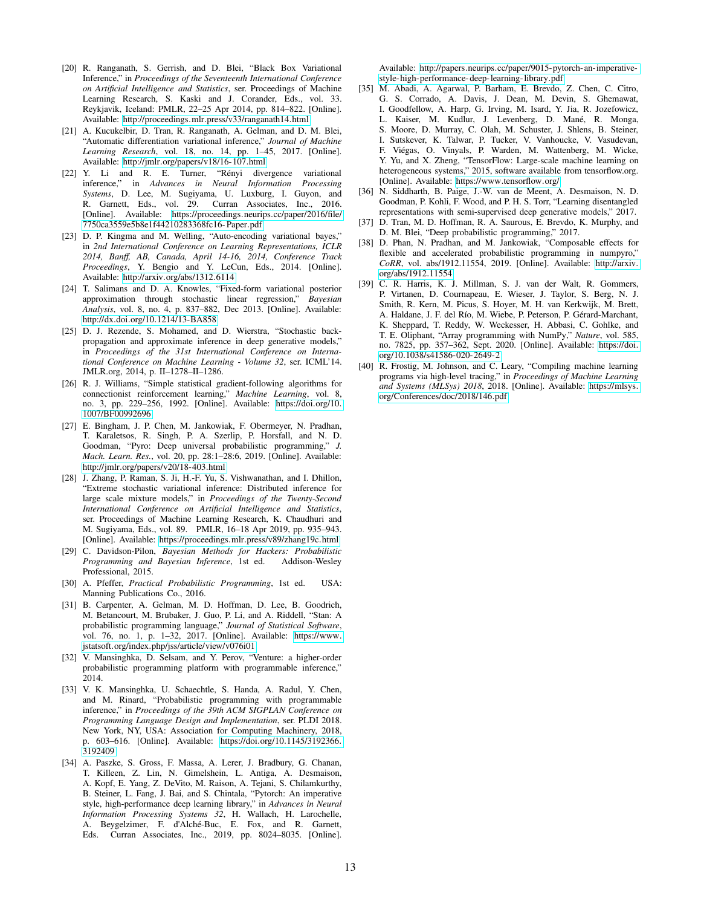- [20] R. Ranganath, S. Gerrish, and D. Blei, "Black Box Variational Inference," in *Proceedings of the Seventeenth International Conference on Artificial Intelligence and Statistics*, ser. Proceedings of Machine Learning Research, S. Kaski and J. Corander, Eds., vol. 33. Reykjavik, Iceland: PMLR, 22–25 Apr 2014, pp. 814–822. [Online]. Available: http://proceedings.mlr.[press/v33/ranganath14](http://proceedings.mlr.press/v33/ranganath14.html).html
- [21] A. Kucukelbir, D. Tran, R. Ranganath, A. Gelman, and D. M. Blei, "Automatic differentiation variational inference," *Journal of Machine Learning Research*, vol. 18, no. 14, pp. 1–45, 2017. [Online]. Available: http://jmlr.[org/papers/v18/16-107](http://jmlr.org/papers/v18/16-107.html).html
- [22] Y. Li and R. E. Turner, "Rényi divergence variational inference," in *Advances in Neural Information Processing Systems*, D. Lee, M. Sugiyama, U. Luxburg, I. Guyon, and R. Garnett, Eds., vol. 29. Curran Associates, Inc., 2016. [Online]. Available: [https://proceedings](https://proceedings.neurips.cc/paper/2016/file/7750ca3559e5b8e1f44210283368fc16-Paper.pdf).neurips.cc/paper/2016/file/ [7750ca3559e5b8e1f44210283368fc16- Paper](https://proceedings.neurips.cc/paper/2016/file/7750ca3559e5b8e1f44210283368fc16-Paper.pdf).pdf
- [23] D. P. Kingma and M. Welling, "Auto-encoding variational bayes," in *2nd International Conference on Learning Representations, ICLR 2014, Banff, AB, Canada, April 14-16, 2014, Conference Track Proceedings*, Y. Bengio and Y. LeCun, Eds., 2014. [Online]. Available: http://arxiv.[org/abs/1312](http://arxiv.org/abs/1312.6114).6114
- [24] T. Salimans and D. A. Knowles, "Fixed-form variational posterior approximation through stochastic linear regression," *Bayesian Analysis*, vol. 8, no. 4, p. 837–882, Dec 2013. [Online]. Available: http://dx.doi.org/10.[1214/13-BA858](http://dx.doi.org/10.1214/13-BA858)
- [25] D. J. Rezende, S. Mohamed, and D. Wierstra, "Stochastic backpropagation and approximate inference in deep generative models," in *Proceedings of the 31st International Conference on International Conference on Machine Learning - Volume 32*, ser. ICML'14. JMLR.org, 2014, p. II–1278–II–1286.
- [26] R. J. Williams, "Simple statistical gradient-following algorithms for connectionist reinforcement learning," *Machine Learning*, vol. 8, no. 3, pp. 229–256, 1992. [Online]. Available: [https://doi](https://doi.org/10.1007/BF00992696).org/10. [1007/BF00992696](https://doi.org/10.1007/BF00992696)
- [27] E. Bingham, J. P. Chen, M. Jankowiak, F. Obermeyer, N. Pradhan, T. Karaletsos, R. Singh, P. A. Szerlip, P. Horsfall, and N. D. Goodman, "Pyro: Deep universal probabilistic programming," *J. Mach. Learn. Res.*, vol. 20, pp. 28:1–28:6, 2019. [Online]. Available: http://jmlr.[org/papers/v20/18-403](http://jmlr.org/papers/v20/18-403.html).html
- [28] J. Zhang, P. Raman, S. Ji, H.-F. Yu, S. Vishwanathan, and I. Dhillon, "Extreme stochastic variational inference: Distributed inference for large scale mixture models," in *Proceedings of the Twenty-Second International Conference on Artificial Intelligence and Statistics*, ser. Proceedings of Machine Learning Research, K. Chaudhuri and M. Sugiyama, Eds., vol. 89. PMLR, 16–18 Apr 2019, pp. 935–943. [Online]. Available: https://proceedings.mlr.[press/v89/zhang19c](https://proceedings.mlr.press/v89/zhang19c.html).html
- [29] C. Davidson-Pilon, *Bayesian Methods for Hackers: Probabilistic Programming and Bayesian Inference*, 1st ed. Addison-Wesley Professional, 2015.
- [30] A. Pfeffer, *Practical Probabilistic Programming*, 1st ed. USA: Manning Publications Co., 2016.
- [31] B. Carpenter, A. Gelman, M. D. Hoffman, D. Lee, B. Goodrich, M. Betancourt, M. Brubaker, J. Guo, P. Li, and A. Riddell, "Stan: A probabilistic programming language," *Journal of Statistical Software*, vol. 76, no. 1, p. 1–32, 2017. [Online]. Available: [https://www](https://www.jstatsoft.org/index.php/jss/article/view/v076i01). jstatsoft.org/index.[php/jss/article/view/v076i01](https://www.jstatsoft.org/index.php/jss/article/view/v076i01)
- [32] V. Mansinghka, D. Selsam, and Y. Perov, "Venture: a higher-order probabilistic programming platform with programmable inference,"  $2014.$
- [33] V. K. Mansinghka, U. Schaechtle, S. Handa, A. Radul, Y. Chen, and M. Rinard, "Probabilistic programming with programmable inference," in *Proceedings of the 39th ACM SIGPLAN Conference on Programming Language Design and Implementation*, ser. PLDI 2018. New York, NY, USA: Association for Computing Machinery, 2018, p. 603–616. [Online]. Available: https://doi.org/10.[1145/3192366](https://doi.org/10.1145/3192366.3192409). [3192409](https://doi.org/10.1145/3192366.3192409)
- [34] A. Paszke, S. Gross, F. Massa, A. Lerer, J. Bradbury, G. Chanan, T. Killeen, Z. Lin, N. Gimelshein, L. Antiga, A. Desmaison, A. Kopf, E. Yang, Z. DeVito, M. Raison, A. Tejani, S. Chilamkurthy, B. Steiner, L. Fang, J. Bai, and S. Chintala, "Pytorch: An imperative style, high-performance deep learning library," in *Advances in Neural Information Processing Systems 32*, H. Wallach, H. Larochelle, A. Beygelzimer, F. d'Alché-Buc, E. Fox, and R. Garnett, Eds. Curran Associates, Inc., 2019, pp. 8024–8035. [Online].

Available: http://papers.neurips.[cc/paper/9015-pytorch-an-imperative](http://papers.neurips.cc/paper/9015-pytorch-an-imperative-style-high-performance-deep-learning-library.pdf)[style-high-performance- deep-learning-library](http://papers.neurips.cc/paper/9015-pytorch-an-imperative-style-high-performance-deep-learning-library.pdf).pdf

- [35] M. Abadi, A. Agarwal, P. Barham, E. Brevdo, Z. Chen, C. Citro, G. S. Corrado, A. Davis, J. Dean, M. Devin, S. Ghemawat, I. Goodfellow, A. Harp, G. Irving, M. Isard, Y. Jia, R. Jozefowicz, L. Kaiser, M. Kudlur, J. Levenberg, D. Mané, R. Monga, S. Moore, D. Murray, C. Olah, M. Schuster, J. Shlens, B. Steiner, I. Sutskever, K. Talwar, P. Tucker, V. Vanhoucke, V. Vasudevan, F. Viégas, O. Vinyals, P. Warden, M. Wattenberg, M. Wicke, Y. Yu, and X. Zheng, "TensorFlow: Large-scale machine learning on heterogeneous systems," 2015, software available from tensorflow.org. [Online]. Available: [https://www](https://www.tensorflow.org/).tensorflow.org/
- [36] N. Siddharth, B. Paige, J.-W. van de Meent, A. Desmaison, N. D. Goodman, P. Kohli, F. Wood, and P. H. S. Torr, "Learning disentangled representations with semi-supervised deep generative models," 2017.
- [37] D. Tran, M. D. Hoffman, R. A. Saurous, E. Brevdo, K. Murphy, and D. M. Blei, "Deep probabilistic programming," 2017.
- [38] D. Phan, N. Pradhan, and M. Jankowiak, "Composable effects for flexible and accelerated probabilistic programming in numpyro," *CoRR*, vol. abs/1912.11554, 2019. [Online]. Available: [http://arxiv](http://arxiv.org/abs/1912.11554). [org/abs/1912](http://arxiv.org/abs/1912.11554).11554
- [39] C. R. Harris, K. J. Millman, S. J. van der Walt, R. Gommers, P. Virtanen, D. Cournapeau, E. Wieser, J. Taylor, S. Berg, N. J. Smith, R. Kern, M. Picus, S. Hoyer, M. H. van Kerkwijk, M. Brett, A. Haldane, J. F. del Río, M. Wiebe, P. Peterson, P. Gérard-Marchant, K. Sheppard, T. Reddy, W. Weckesser, H. Abbasi, C. Gohlke, and T. E. Oliphant, "Array programming with NumPy," *Nature*, vol. 585, no. 7825, pp. 357–362, Sept. 2020. [Online]. Available: [https://doi](https://doi.org/10.1038/s41586-020-2649-2). org/10.[1038/s41586-020-2649-2](https://doi.org/10.1038/s41586-020-2649-2)
- [40] R. Frostig, M. Johnson, and C. Leary, "Compiling machine learning programs via high-level tracing," in *Proceedings of Machine Learning and Systems (MLSys) 2018*, 2018. [Online]. Available: [https://mlsys](https://mlsys.org/Conferences/doc/2018/146.pdf). [org/Conferences/doc/2018/146](https://mlsys.org/Conferences/doc/2018/146.pdf).pdf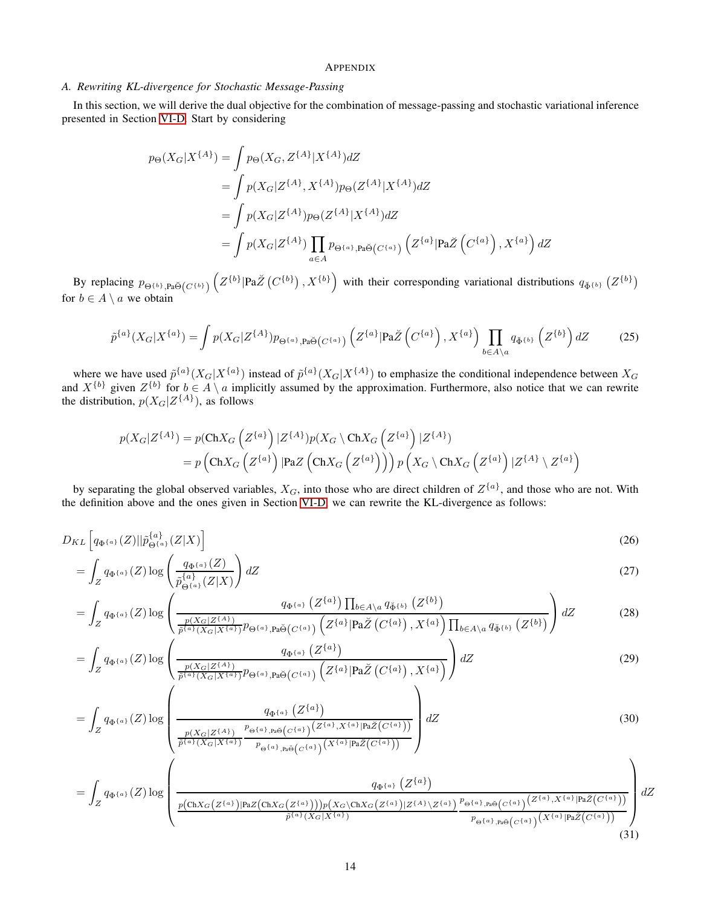# <span id="page-13-0"></span>APPENDIX

# <span id="page-13-1"></span>*A. Rewriting KL-divergence for Stochastic Message-Passing*

In this section, we will derive the dual objective for the combination of message-passing and stochastic variational inference presented in Section [VI-D.](#page-9-0) Start by considering

$$
p_{\Theta}(X_G|X^{\{A\}}) = \int p_{\Theta}(X_G, Z^{\{A\}}|X^{\{A\}}) dZ
$$
  
= 
$$
\int p(X_G|Z^{\{A\}}, X^{\{A\}}) p_{\Theta}(Z^{\{A\}}|X^{\{A\}}) dZ
$$
  
= 
$$
\int p(X_G|Z^{\{A\}}) p_{\Theta}(Z^{\{A\}}|X^{\{A\}}) dZ
$$
  
= 
$$
\int p(X_G|Z^{\{A\}}) \prod_{a \in A} p_{\Theta^{\{a\}}, p_a \check{\Theta}(C^{\{a\}})} (Z^{\{a\}}|Pa\check{Z})(C^{\{a\}}), X^{\{a\}}) dZ
$$

By replacing  $p_{\Theta^{\{b\}},\text{Pa\bullet\bullet}(C^{\{b\}})}\left(Z^{\{b\}}|\text{Pa\textit{Z}}(C^{\{b\}}),X^{\{b\}}\right)$  with their corresponding variational distributions  $q_{\check{\Phi}^{\{b\}}}(Z^{\{b\}})$ for  $b \in A \setminus a$  we obtain

$$
\tilde{p}^{\{a\}}(X_G|X^{\{a\}}) = \int p(X_G|Z^{\{A\}})p_{\Theta^{\{a\}},\mathbf{Pa}\breve{\Theta}}(C^{\{a\}})\left(Z^{\{a\}}|\mathbf{Pa}\breve{Z}\left(C^{\{a\}}\right),X^{\{a\}}\right)\prod_{b\in A\setminus a}q_{\breve{\Phi}^{\{b\}}}\left(Z^{\{b\}}\right)dZ\tag{25}
$$

where we have used  $\tilde{p}^{\{a\}}(X_G|X^{\{a\}})$  instead of  $\tilde{p}^{\{a\}}(X_G|X^{\{A\}})$  to emphasize the conditional independence between  $X_G$ and  $X^{\{b\}}$  given  $Z^{\{b\}}$  for  $b \in A \setminus a$  implicitly assumed by the approximation. Furthermore, also notice that we can rewrite the distribution,  $p(X_G|Z^{\{A\}})$ , as follows

<span id="page-13-2"></span>
$$
p(X_G|Z^{\{A\}}) = p(\text{Ch}X_G\left(Z^{\{a\}}\right)|Z^{\{A\}})p(X_G\setminus \text{Ch}X_G\left(Z^{\{a\}}\right)|Z^{\{A\}})
$$
  
=  $p\left(\text{Ch}X_G\left(Z^{\{a\}}\right)|\text{PaZ}\left(\text{Ch}X_G\left(Z^{\{a\}}\right)\right)\right)p\left(X_G\setminus \text{Ch}X_G\left(Z^{\{a\}}\right)|Z^{\{A\}}\setminus Z^{\{a\}}\right)$ 

by separating the global observed variables,  $X_G$ , into those who are direct children of  $Z^{\{a\}}$ , and those who are not. With the definition above and the ones given in Section [VI-D,](#page-9-0) we can rewrite the KL-divergence as follows:

$$
D_{KL}\left[q_{\Phi^{\{a\}}}(Z)||\tilde{p}_{\Theta^{\{a\}}}(Z|X)\right]
$$
\n<sup>(26)</sup>

$$
=\int_{Z} q_{\Phi^{\{a\}}}(Z) \log \left(\frac{q_{\Phi^{\{a\}}}(Z)}{\tilde{p}^{\{a\}}_{\Theta^{\{a\}}}(Z|X)}\right) dZ\tag{27}
$$

$$
= \int_{Z} q_{\Phi^{\{a\}}}(Z) \log \left( \frac{q_{\Phi^{\{a\}}}\left(Z^{\{a\}}\right) \prod_{b \in A \setminus a} q_{\check{\Phi}^{\{b\}}}\left(Z^{\{b\}}\right)}{\frac{p(X_G|Z^{\{A\}})}{\tilde{p}^{\{a\}}(X_G|X^{\{a\}})} p_{\Theta^{\{a\}},\mathbf{Pa}\check{\Theta}}(C^{\{a\}})\left(Z^{\{a\}}|\mathbf{Pa}\check{Z}\left(C^{\{a\}}\right),X^{\{a\}}\right) \prod_{b \in A \setminus a} q_{\check{\Phi}^{\{b\}}}\left(Z^{\{b\}}\right)} dZ \tag{28}
$$

$$
= \int_{Z} q_{\Phi^{\{a\}}}(Z) \log \left( \frac{q_{\Phi^{\{a\}}}\left(Z^{\{a\}}\right)}{\frac{p(X_G|Z^{\{A\}})}{\tilde{p}^{\{a\}}(X_G|X^{\{a\}})} p_{\Theta^{\{a\}},p_a\breve{\Theta}(C^{\{a\}})} \left(Z^{\{a\}} | \mathbf{Pa}\breve{Z}\left(C^{\{a\}}\right), X^{\{a\}}\right)} \right) dZ \tag{29}
$$

$$
= \int_{Z} q_{\Phi^{\{a\}}}(Z) \log \left( \frac{q_{\Phi^{\{a\}}}\left(Z^{\{a\}}\right)}{\frac{p(X_G|Z^{\{A\}})}{\tilde{p}^{\{a\}}(X_G|X^{\{a\}})} \frac{p_{\Theta^{\{a\}},p_a\breve{\Theta}}(C^{\{a\}})}{p_{\Theta^{\{a\}},p_a\breve{\Theta}}(C^{\{a\}})} \frac{(Z^{\{a\}},X^{\{a\}}|P_a\breve{Z}(C^{\{a\}}))}{(X^{\{a\}}|P_a\breve{Z}(C^{\{a\}}))} \right) dZ
$$
\n(30)

$$
= \int_{Z} q_{\Phi^{\{a\}}}(Z) \log \left( \frac{q_{\Phi^{\{a\}}}\left(Z^{\{a\}}\right)}{\frac{p(\text{Ch}X_G(Z^{\{a\}})|\text{Pa}Z(\text{Ch}X_G(Z^{\{a\}})))p(X_G\backslash\text{Ch}X_G(Z^{\{a\}})|Z^{\{A\}}\backslash Z^{\{a\}})}{p^{\{a\}}(X_G|X^{\{a\}})}} \frac{q_{\Phi^{\{a\}}}\left(Z^{\{a\}}\right)}{p_{\Theta^{\{a\}},\text{Pa}\Theta}(C^{\{a\}})\left(Z^{\{a\}},X^{\{a\}}|\text{Pa}\tilde{Z}(C^{\{a\}}))}\right)}dZ^{\{a\}} dZ^{\{a\}} \right) \tag{31}
$$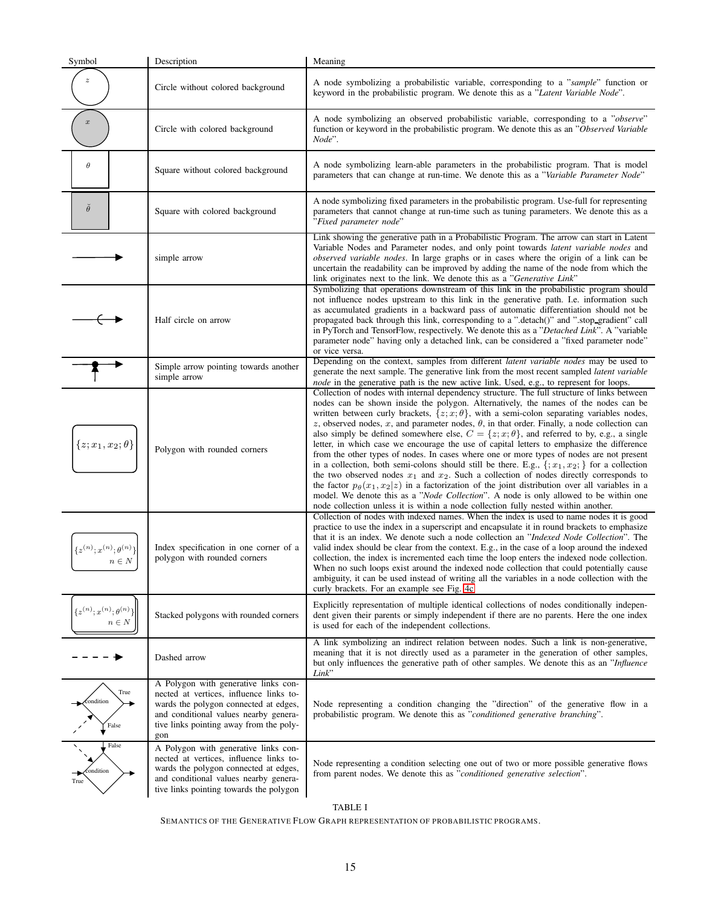| Symbol                                          | Description                                                                                                                                                                                                         | Meaning                                                                                                                                                                                                                                                                                                                                                                                                                                                                                                                                                                                                                                                                                                                                                                                                                                                                                                                                                                                                                                                                                                                                                                                                  |
|-------------------------------------------------|---------------------------------------------------------------------------------------------------------------------------------------------------------------------------------------------------------------------|----------------------------------------------------------------------------------------------------------------------------------------------------------------------------------------------------------------------------------------------------------------------------------------------------------------------------------------------------------------------------------------------------------------------------------------------------------------------------------------------------------------------------------------------------------------------------------------------------------------------------------------------------------------------------------------------------------------------------------------------------------------------------------------------------------------------------------------------------------------------------------------------------------------------------------------------------------------------------------------------------------------------------------------------------------------------------------------------------------------------------------------------------------------------------------------------------------|
| z                                               | Circle without colored background                                                                                                                                                                                   | A node symbolizing a probabilistic variable, corresponding to a "sample" function or<br>keyword in the probabilistic program. We denote this as a "Latent Variable Node".                                                                                                                                                                                                                                                                                                                                                                                                                                                                                                                                                                                                                                                                                                                                                                                                                                                                                                                                                                                                                                |
| $\boldsymbol{x}$                                | Circle with colored background                                                                                                                                                                                      | A node symbolizing an observed probabilistic variable, corresponding to a "observe"<br>function or keyword in the probabilistic program. We denote this as an "Observed Variable<br>Node".                                                                                                                                                                                                                                                                                                                                                                                                                                                                                                                                                                                                                                                                                                                                                                                                                                                                                                                                                                                                               |
| $\theta$                                        | Square without colored background                                                                                                                                                                                   | A node symbolizing learn-able parameters in the probabilistic program. That is model<br>parameters that can change at run-time. We denote this as a "Variable Parameter Node"                                                                                                                                                                                                                                                                                                                                                                                                                                                                                                                                                                                                                                                                                                                                                                                                                                                                                                                                                                                                                            |
| $\check{\theta}$                                | Square with colored background                                                                                                                                                                                      | A node symbolizing fixed parameters in the probabilistic program. Use-full for representing<br>parameters that cannot change at run-time such as tuning parameters. We denote this as a<br>"Fixed parameter node"                                                                                                                                                                                                                                                                                                                                                                                                                                                                                                                                                                                                                                                                                                                                                                                                                                                                                                                                                                                        |
|                                                 | simple arrow                                                                                                                                                                                                        | Link showing the generative path in a Probabilistic Program. The arrow can start in Latent<br>Variable Nodes and Parameter nodes, and only point towards latent variable nodes and<br>observed variable nodes. In large graphs or in cases where the origin of a link can be<br>uncertain the readability can be improved by adding the name of the node from which the<br>link originates next to the link. We denote this as a "Generative Link"                                                                                                                                                                                                                                                                                                                                                                                                                                                                                                                                                                                                                                                                                                                                                       |
|                                                 | Half circle on arrow                                                                                                                                                                                                | Symbolizing that operations downstream of this link in the probabilistic program should<br>not influence nodes upstream to this link in the generative path. I.e. information such<br>as accumulated gradients in a backward pass of automatic differentiation should not be<br>propagated back through this link, corresponding to a ".detach()" and ".stop_gradient" call<br>in PyTorch and TensorFlow, respectively. We denote this as a "Detached Link". A "variable<br>parameter node" having only a detached link, can be considered a "fixed parameter node"<br>or vice versa.                                                                                                                                                                                                                                                                                                                                                                                                                                                                                                                                                                                                                    |
|                                                 | Simple arrow pointing towards another<br>simple arrow                                                                                                                                                               | Depending on the context, samples from different <i>latent variable nodes</i> may be used to<br>generate the next sample. The generative link from the most recent sampled <i>latent variable</i><br><i>node</i> in the generative path is the new active link. Used, e.g., to represent for loops.                                                                                                                                                                                                                                                                                                                                                                                                                                                                                                                                                                                                                                                                                                                                                                                                                                                                                                      |
| $\{z; x_1, x_2; \theta\}$                       | Polygon with rounded corners                                                                                                                                                                                        | Collection of nodes with internal dependency structure. The full structure of links between<br>nodes can be shown inside the polygon. Alternatively, the names of the nodes can be<br>written between curly brackets, $\{z; x; \theta\}$ , with a semi-colon separating variables nodes,<br>z, observed nodes, x, and parameter nodes, $\theta$ , in that order. Finally, a node collection can<br>also simply be defined somewhere else, $C = \{z, x, \theta\}$ , and referred to by, e.g., a single<br>letter, in which case we encourage the use of capital letters to emphasize the difference<br>from the other types of nodes. In cases where one or more types of nodes are not present<br>in a collection, both semi-colons should still be there. E.g., $\{x_1, x_2, y\}$ for a collection<br>the two observed nodes $x_1$ and $x_2$ . Such a collection of nodes directly corresponds to<br>the factor $p_{\theta}(x_1, x_2   z)$ in a factorization of the joint distribution over all variables in a<br>model. We denote this as a " <i>Node Collection</i> ". A node is only allowed to be within one<br>node collection unless it is within a node collection fully nested within another. |
| ${z(n); x(n); \theta(n)}$<br>$n \in N$          | Index specification in one corner of a<br>polygon with rounded corners                                                                                                                                              | Collection of nodes with indexed names. When the index is used to name nodes it is good<br>practice to use the index in a superscript and encapsulate it in round brackets to emphasize<br>that it is an index. We denote such a node collection an "Indexed Node Collection". The<br>valid index should be clear from the context. E.g., in the case of a loop around the indexed<br>collection, the index is incremented each time the loop enters the indexed node collection.<br>When no such loops exist around the indexed node collection that could potentially cause<br>ambiguity, it can be used instead of writing all the variables in a node collection with the<br>curly brackets. For an example see Fig. 4c                                                                                                                                                                                                                                                                                                                                                                                                                                                                              |
| $\{z^{(n)};x^{(n)};\theta^{(n)}\}$<br>$n \in N$ | Stacked polygons with rounded corners                                                                                                                                                                               | Explicitly representation of multiple identical collections of nodes conditionally indepen-<br>dent given their parents or simply independent if there are no parents. Here the one index<br>is used for each of the independent collections.                                                                                                                                                                                                                                                                                                                                                                                                                                                                                                                                                                                                                                                                                                                                                                                                                                                                                                                                                            |
|                                                 | Dashed arrow                                                                                                                                                                                                        | A link symbolizing an indirect relation between nodes. Such a link is non-generative,<br>meaning that it is not directly used as a parameter in the generation of other samples,<br>but only influences the generative path of other samples. We denote this as an "Influence<br>Link"                                                                                                                                                                                                                                                                                                                                                                                                                                                                                                                                                                                                                                                                                                                                                                                                                                                                                                                   |
| True<br>condition<br>False                      | A Polygon with generative links con-<br>nected at vertices, influence links to-<br>wards the polygon connected at edges,<br>and conditional values nearby genera-<br>tive links pointing away from the poly-<br>gon | Node representing a condition changing the "direction" of the generative flow in a<br>probabilistic program. We denote this as "conditioned generative branching".                                                                                                                                                                                                                                                                                                                                                                                                                                                                                                                                                                                                                                                                                                                                                                                                                                                                                                                                                                                                                                       |
| False<br>condition<br>True                      | A Polygon with generative links con-<br>nected at vertices, influence links to-<br>wards the polygon connected at edges,<br>and conditional values nearby genera-<br>tive links pointing towards the polygon        | Node representing a condition selecting one out of two or more possible generative flows<br>from parent nodes. We denote this as "conditioned generative selection".                                                                                                                                                                                                                                                                                                                                                                                                                                                                                                                                                                                                                                                                                                                                                                                                                                                                                                                                                                                                                                     |

TABLE I

<span id="page-14-0"></span>SEMANTICS OF THE GENERATIVE FLOW GRAPH REPRESENTATION OF PROBABILISTIC PROGRAMS.